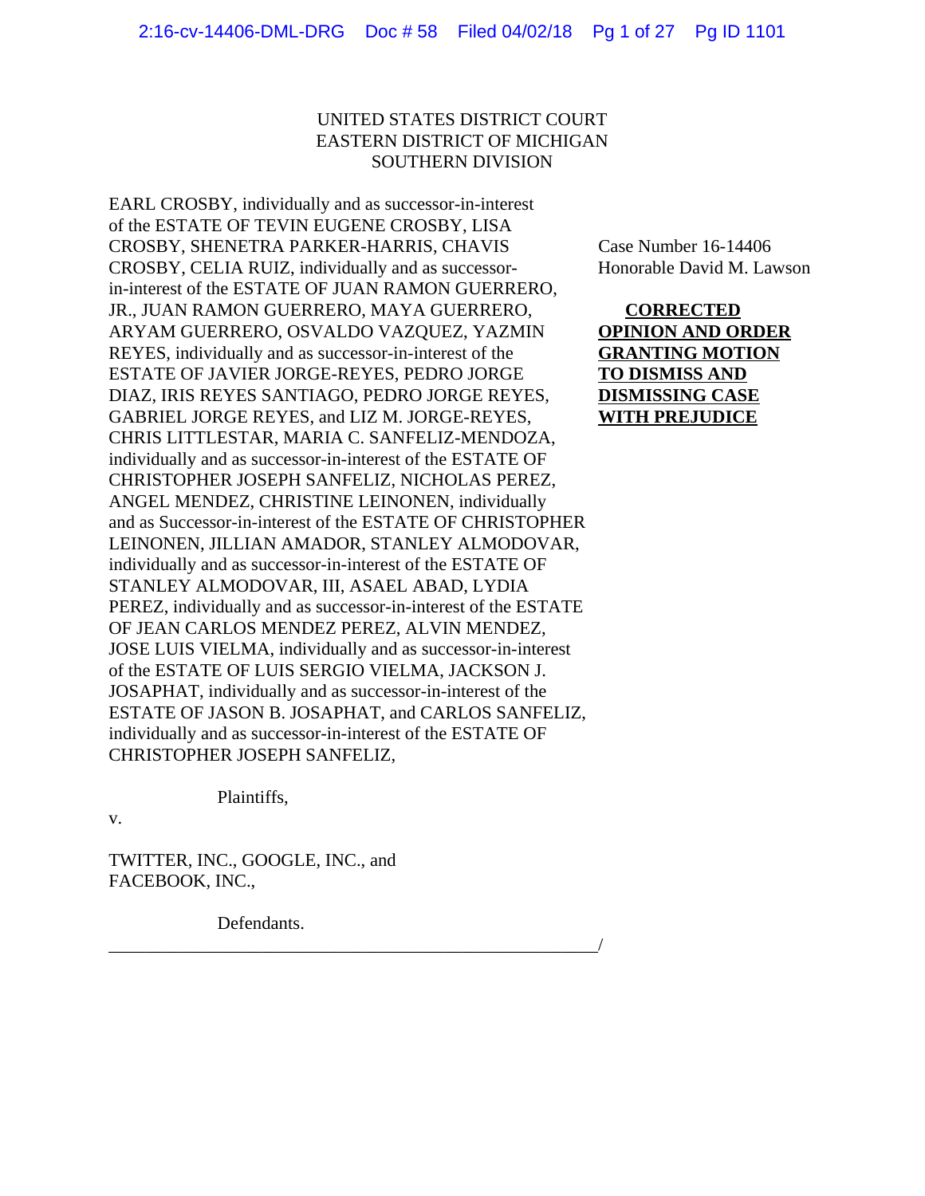# UNITED STATES DISTRICT COURT EASTERN DISTRICT OF MICHIGAN SOUTHERN DIVISION

EARL CROSBY, individually and as successor-in-interest of the ESTATE OF TEVIN EUGENE CROSBY, LISA CROSBY, SHENETRA PARKER-HARRIS, CHAVIS Case Number 16-14406 CROSBY, CELIA RUIZ, individually and as successor- Honorable David M. Lawson in-interest of the ESTATE OF JUAN RAMON GUERRERO, JR., JUAN RAMON GUERRERO, MAYA GUERRERO, **CORRECTED** ARYAM GUERRERO, OSVALDO VAZQUEZ, YAZMIN **OPINION AND ORDER** REYES, individually and as successor-in-interest of the **GRANTING MOTION** ESTATE OF JAVIER JORGE-REYES, PEDRO JORGE **TO DISMISS AND** DIAZ, IRIS REYES SANTIAGO, PEDRO JORGE REYES, **DISMISSING CASE** GABRIEL JORGE REYES, and LIZ M. JORGE-REYES, **WITH PREJUDICE** CHRIS LITTLESTAR, MARIA C. SANFELIZ-MENDOZA, individually and as successor-in-interest of the ESTATE OF CHRISTOPHER JOSEPH SANFELIZ, NICHOLAS PEREZ, ANGEL MENDEZ, CHRISTINE LEINONEN, individually and as Successor-in-interest of the ESTATE OF CHRISTOPHER LEINONEN, JILLIAN AMADOR, STANLEY ALMODOVAR, individually and as successor-in-interest of the ESTATE OF STANLEY ALMODOVAR, III, ASAEL ABAD, LYDIA PEREZ, individually and as successor-in-interest of the ESTATE OF JEAN CARLOS MENDEZ PEREZ, ALVIN MENDEZ, JOSE LUIS VIELMA, individually and as successor-in-interest of the ESTATE OF LUIS SERGIO VIELMA, JACKSON J. JOSAPHAT, individually and as successor-in-interest of the ESTATE OF JASON B. JOSAPHAT, and CARLOS SANFELIZ, individually and as successor-in-interest of the ESTATE OF CHRISTOPHER JOSEPH SANFELIZ,

Plaintiffs,

v.

TWITTER, INC., GOOGLE, INC., and FACEBOOK, INC.,

Defendants.

\_\_\_\_\_\_\_\_\_\_\_\_\_\_\_\_\_\_\_\_\_\_\_\_\_\_\_\_\_\_\_\_\_\_\_\_\_\_\_\_\_\_\_\_\_\_\_\_\_\_\_\_\_\_/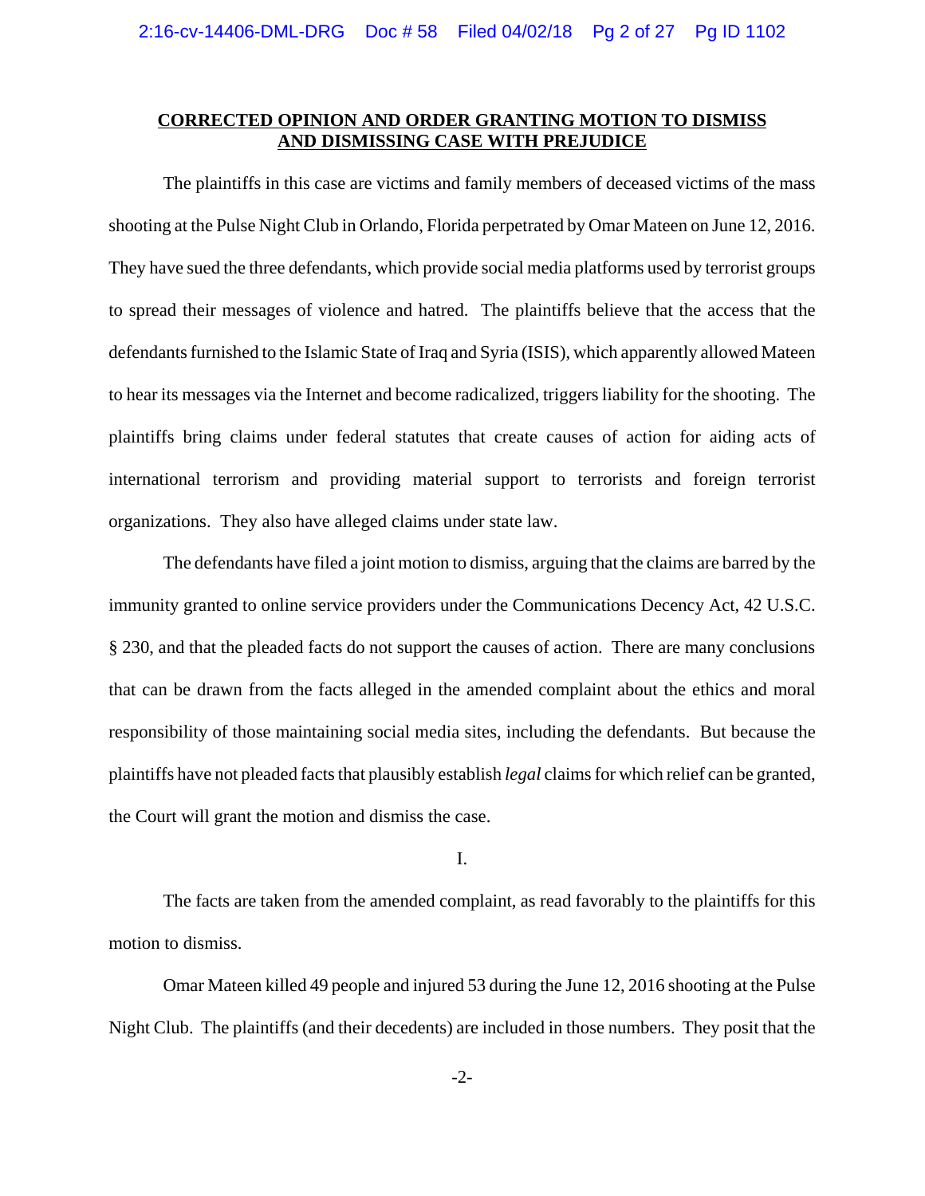# **CORRECTED OPINION AND ORDER GRANTING MOTION TO DISMISS AND DISMISSING CASE WITH PREJUDICE**

The plaintiffs in this case are victims and family members of deceased victims of the mass shooting at the Pulse Night Club in Orlando, Florida perpetrated by Omar Mateen on June 12, 2016. They have sued the three defendants, which provide social media platforms used by terrorist groups to spread their messages of violence and hatred. The plaintiffs believe that the access that the defendants furnished to the Islamic State of Iraq and Syria (ISIS), which apparently allowed Mateen to hear its messages via the Internet and become radicalized, triggers liability for the shooting. The plaintiffs bring claims under federal statutes that create causes of action for aiding acts of international terrorism and providing material support to terrorists and foreign terrorist organizations. They also have alleged claims under state law.

The defendants have filed a joint motion to dismiss, arguing that the claims are barred by the immunity granted to online service providers under the Communications Decency Act, 42 U.S.C. § 230, and that the pleaded facts do not support the causes of action. There are many conclusions that can be drawn from the facts alleged in the amended complaint about the ethics and moral responsibility of those maintaining social media sites, including the defendants. But because the plaintiffs have not pleaded facts that plausibly establish *legal* claims for which relief can be granted, the Court will grant the motion and dismiss the case.

I.

The facts are taken from the amended complaint, as read favorably to the plaintiffs for this motion to dismiss.

Omar Mateen killed 49 people and injured 53 during the June 12, 2016 shooting at the Pulse Night Club. The plaintiffs (and their decedents) are included in those numbers. They posit that the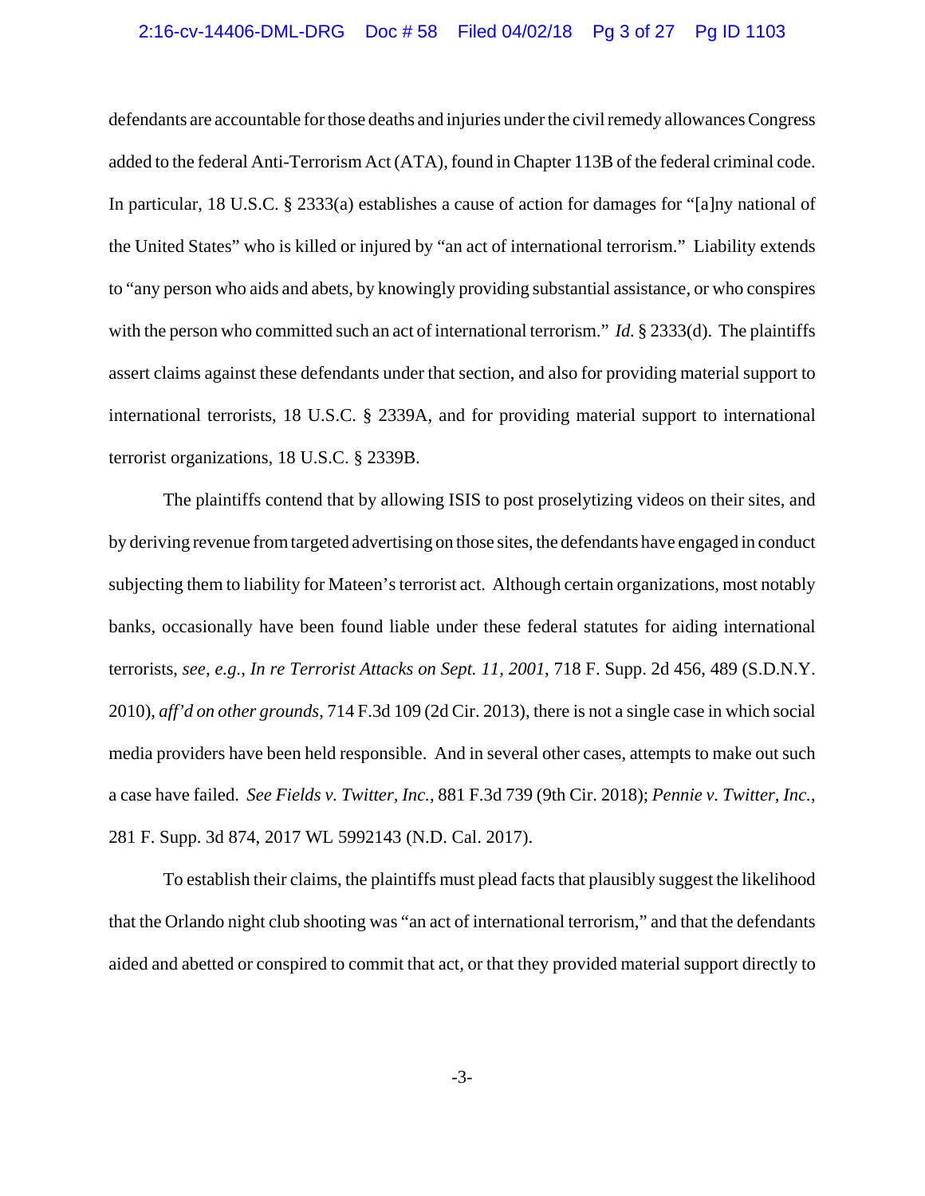### 2:16-cv-14406-DML-DRG Doc # 58 Filed 04/02/18 Pg 3 of 27 Pg ID 1103

defendants are accountable for those deaths and injuries under the civil remedy allowances Congress added to the federal Anti-Terrorism Act (ATA), found in Chapter 113B of the federal criminal code. In particular, 18 U.S.C. § 2333(a) establishes a cause of action for damages for "[a]ny national of the United States" who is killed or injured by "an act of international terrorism." Liability extends to "any person who aids and abets, by knowingly providing substantial assistance, or who conspires with the person who committed such an act of international terrorism." *Id.* § 2333(d). The plaintiffs assert claims against these defendants under that section, and also for providing material support to international terrorists, 18 U.S.C. § 2339A, and for providing material support to international terrorist organizations, 18 U.S.C. § 2339B.

The plaintiffs contend that by allowing ISIS to post proselytizing videos on their sites, and by deriving revenue from targeted advertising on those sites, the defendants have engaged in conduct subjecting them to liability for Mateen's terrorist act. Although certain organizations, most notably banks, occasionally have been found liable under these federal statutes for aiding international terrorists, *see, e.g.*, *In re Terrorist Attacks on Sept. 11, 2001*, 718 F. Supp. 2d 456, 489 (S.D.N.Y. 2010), *aff'd on other grounds*, 714 F.3d 109 (2d Cir. 2013), there is not a single case in which social media providers have been held responsible. And in several other cases, attempts to make out such a case have failed. *See Fields v. Twitter, Inc.*, 881 F.3d 739 (9th Cir. 2018); *Pennie v. Twitter, Inc.*, 281 F. Supp. 3d 874, 2017 WL 5992143 (N.D. Cal. 2017).

To establish their claims, the plaintiffs must plead facts that plausibly suggest the likelihood that the Orlando night club shooting was "an act of international terrorism," and that the defendants aided and abetted or conspired to commit that act, or that they provided material support directly to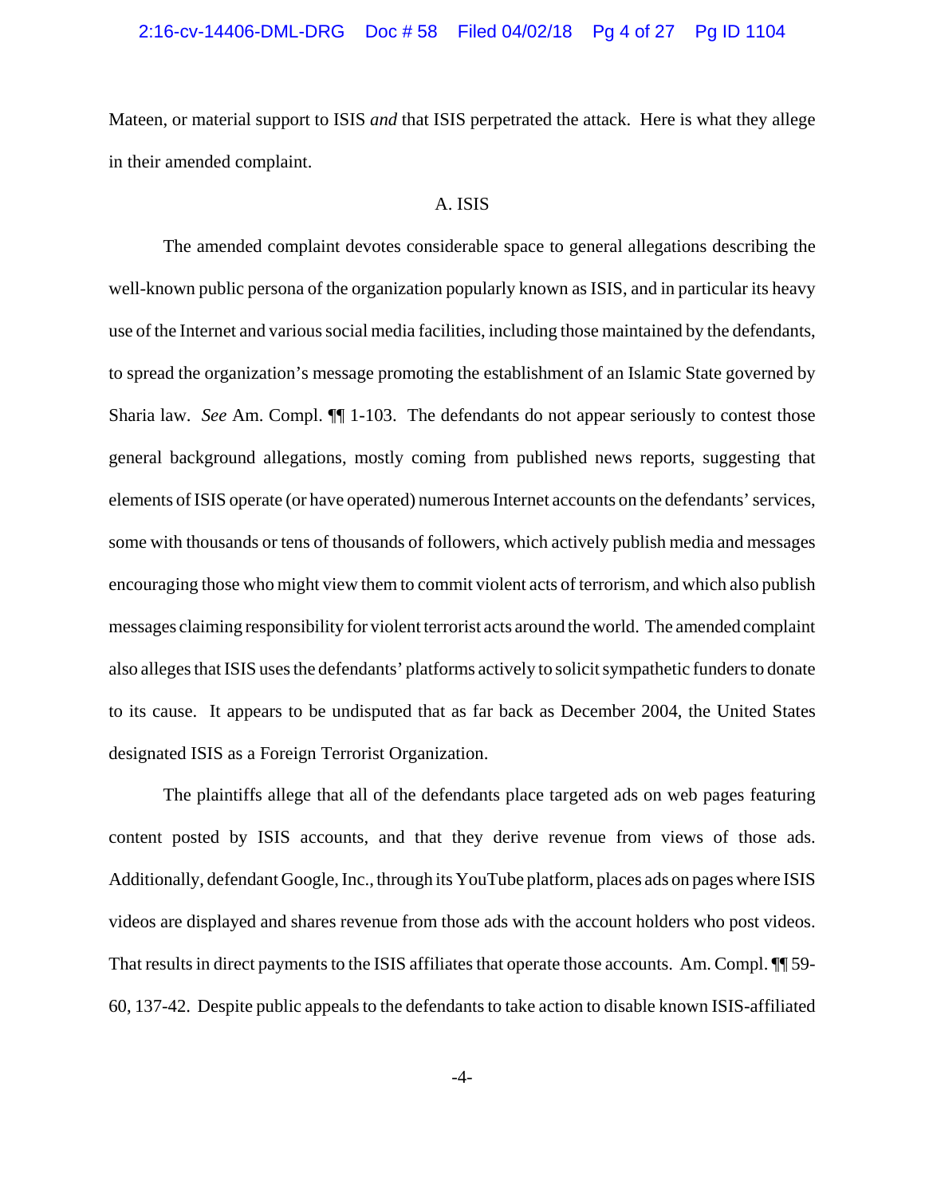#### 2:16-cv-14406-DML-DRG Doc # 58 Filed 04/02/18 Pg 4 of 27 Pg ID 1104

Mateen, or material support to ISIS *and* that ISIS perpetrated the attack. Here is what they allege in their amended complaint.

### A. ISIS

The amended complaint devotes considerable space to general allegations describing the well-known public persona of the organization popularly known as ISIS, and in particular its heavy use of the Internet and various social media facilities, including those maintained by the defendants, to spread the organization's message promoting the establishment of an Islamic State governed by Sharia law. *See* Am. Compl. ¶¶ 1-103. The defendants do not appear seriously to contest those general background allegations, mostly coming from published news reports, suggesting that elements of ISIS operate (or have operated) numerous Internet accounts on the defendants' services, some with thousands or tens of thousands of followers, which actively publish media and messages encouraging those who might view them to commit violent acts of terrorism, and which also publish messages claiming responsibility for violent terrorist acts around the world. The amended complaint also alleges that ISIS uses the defendants' platforms actively to solicit sympathetic funders to donate to its cause. It appears to be undisputed that as far back as December 2004, the United States designated ISIS as a Foreign Terrorist Organization.

The plaintiffs allege that all of the defendants place targeted ads on web pages featuring content posted by ISIS accounts, and that they derive revenue from views of those ads. Additionally, defendant Google, Inc., through its YouTube platform, places ads on pages where ISIS videos are displayed and shares revenue from those ads with the account holders who post videos. That results in direct payments to the ISIS affiliates that operate those accounts. Am. Compl. ¶¶ 59- 60, 137-42. Despite public appeals to the defendants to take action to disable known ISIS-affiliated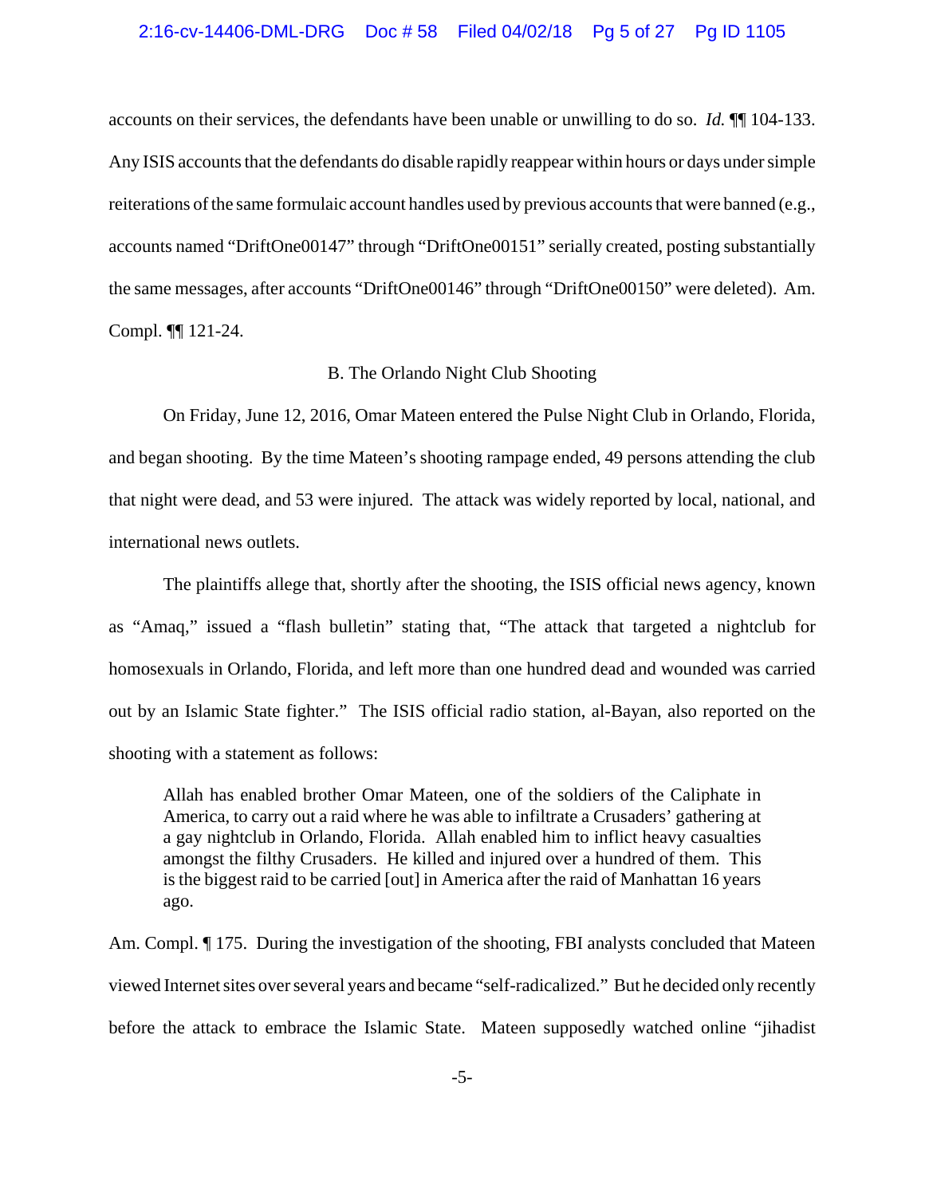### 2:16-cv-14406-DML-DRG Doc # 58 Filed 04/02/18 Pg 5 of 27 Pg ID 1105

accounts on their services, the defendants have been unable or unwilling to do so. *Id.* ¶¶ 104-133. Any ISIS accounts that the defendants do disable rapidly reappear within hours or days under simple reiterations of the same formulaic account handles used by previous accounts that were banned (e.g., accounts named "DriftOne00147" through "DriftOne00151" serially created, posting substantially the same messages, after accounts "DriftOne00146" through "DriftOne00150" were deleted). Am. Compl. ¶¶ 121-24.

## B. The Orlando Night Club Shooting

On Friday, June 12, 2016, Omar Mateen entered the Pulse Night Club in Orlando, Florida, and began shooting. By the time Mateen's shooting rampage ended, 49 persons attending the club that night were dead, and 53 were injured. The attack was widely reported by local, national, and international news outlets.

The plaintiffs allege that, shortly after the shooting, the ISIS official news agency, known as "Amaq," issued a "flash bulletin" stating that, "The attack that targeted a nightclub for homosexuals in Orlando, Florida, and left more than one hundred dead and wounded was carried out by an Islamic State fighter." The ISIS official radio station, al-Bayan, also reported on the shooting with a statement as follows:

Allah has enabled brother Omar Mateen, one of the soldiers of the Caliphate in America, to carry out a raid where he was able to infiltrate a Crusaders' gathering at a gay nightclub in Orlando, Florida. Allah enabled him to inflict heavy casualties amongst the filthy Crusaders. He killed and injured over a hundred of them. This is the biggest raid to be carried [out] in America after the raid of Manhattan 16 years ago.

Am. Compl.  $\P$  175. During the investigation of the shooting, FBI analysts concluded that Mateen viewed Internet sites over several years and became "self-radicalized." But he decided only recently before the attack to embrace the Islamic State. Mateen supposedly watched online "jihadist

-5-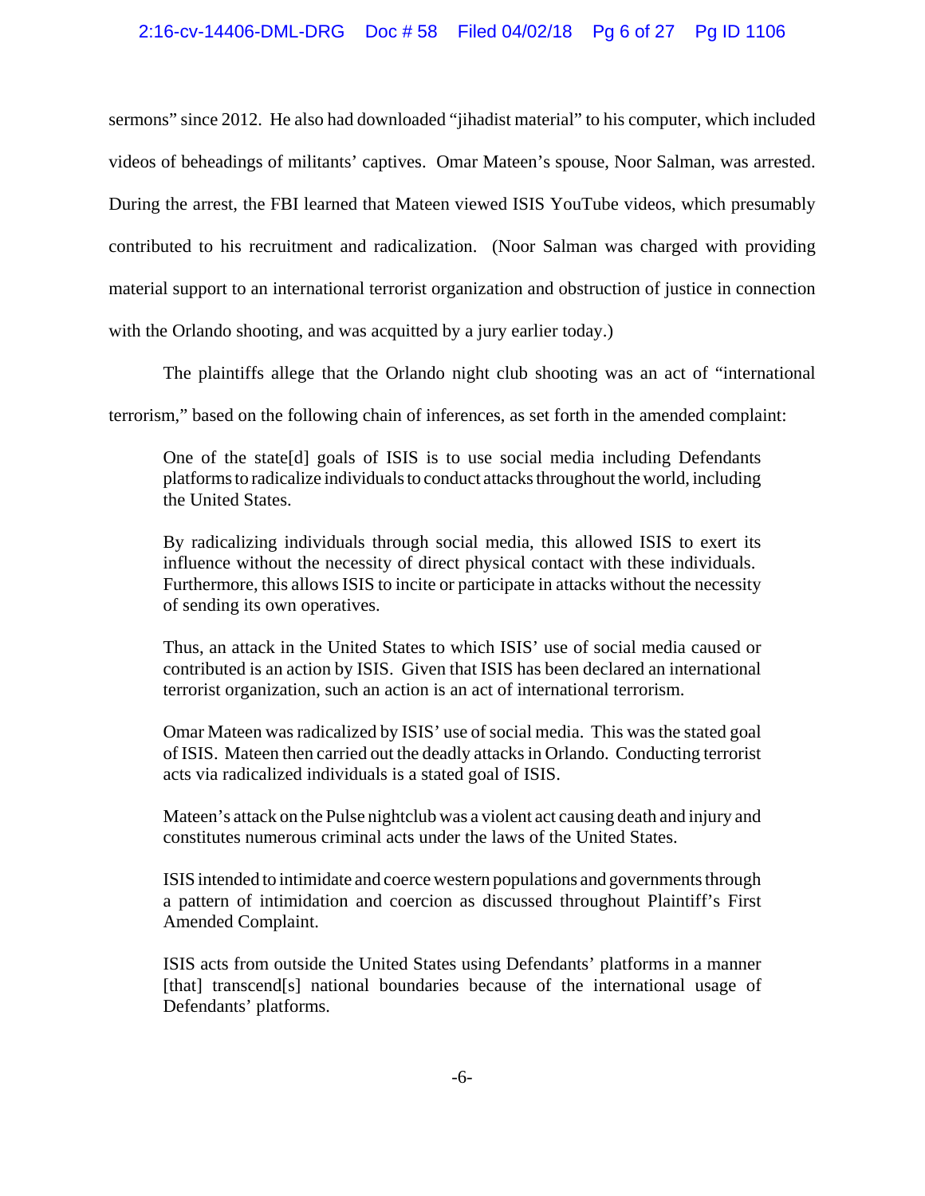## 2:16-cv-14406-DML-DRG Doc # 58 Filed 04/02/18 Pg 6 of 27 Pg ID 1106

sermons" since 2012. He also had downloaded "jihadist material" to his computer, which included videos of beheadings of militants' captives. Omar Mateen's spouse, Noor Salman, was arrested. During the arrest, the FBI learned that Mateen viewed ISIS YouTube videos, which presumably contributed to his recruitment and radicalization. (Noor Salman was charged with providing material support to an international terrorist organization and obstruction of justice in connection with the Orlando shooting, and was acquitted by a jury earlier today.)

The plaintiffs allege that the Orlando night club shooting was an act of "international

terrorism," based on the following chain of inferences, as set forth in the amended complaint:

One of the state[d] goals of ISIS is to use social media including Defendants platforms to radicalize individuals to conduct attacks throughout the world, including the United States.

By radicalizing individuals through social media, this allowed ISIS to exert its influence without the necessity of direct physical contact with these individuals. Furthermore, this allows ISIS to incite or participate in attacks without the necessity of sending its own operatives.

Thus, an attack in the United States to which ISIS' use of social media caused or contributed is an action by ISIS. Given that ISIS has been declared an international terrorist organization, such an action is an act of international terrorism.

Omar Mateen was radicalized by ISIS' use of social media. This was the stated goal of ISIS. Mateen then carried out the deadly attacks in Orlando. Conducting terrorist acts via radicalized individuals is a stated goal of ISIS.

Mateen's attack on the Pulse nightclub was a violent act causing death and injury and constitutes numerous criminal acts under the laws of the United States.

ISIS intended to intimidate and coerce western populations and governments through a pattern of intimidation and coercion as discussed throughout Plaintiff's First Amended Complaint.

ISIS acts from outside the United States using Defendants' platforms in a manner [that] transcend[s] national boundaries because of the international usage of Defendants' platforms.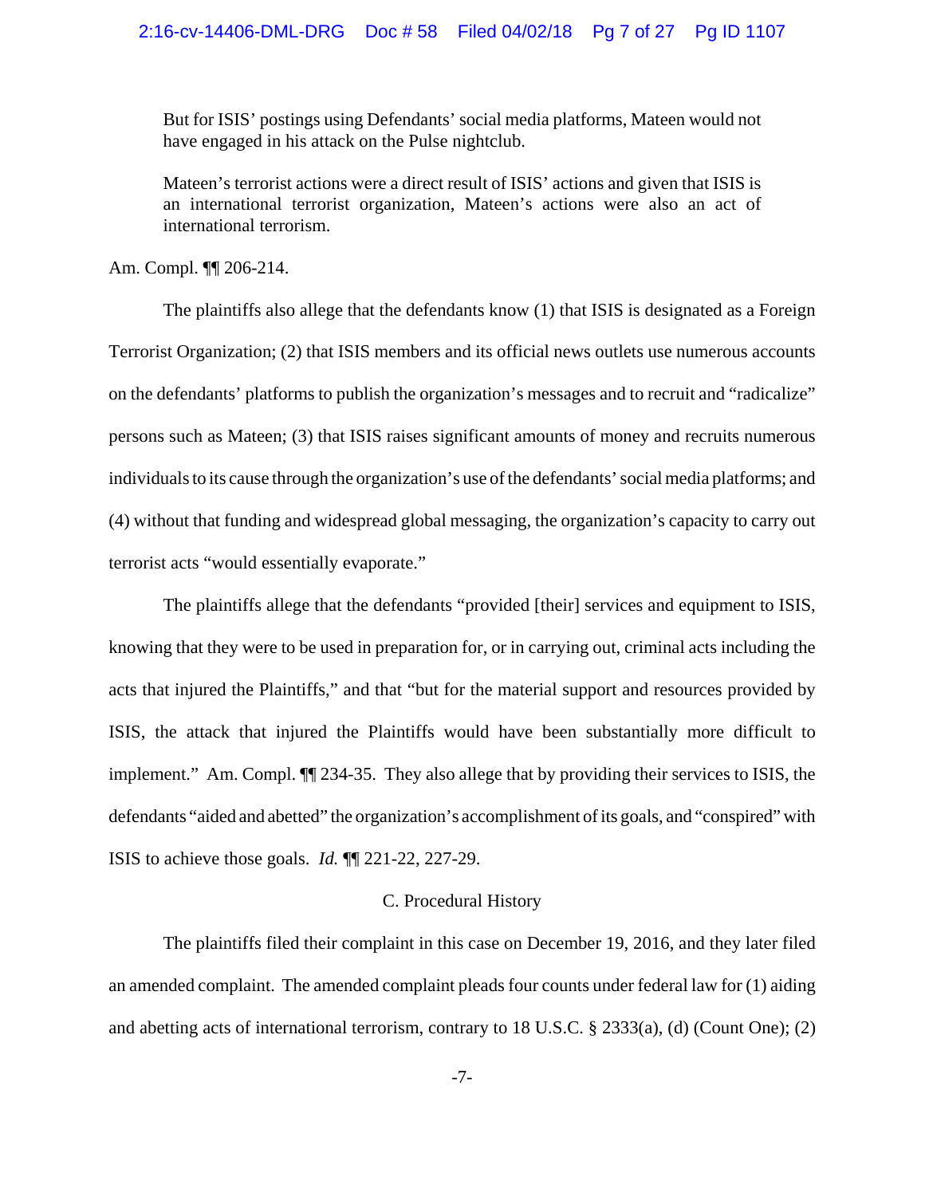But for ISIS' postings using Defendants' social media platforms, Mateen would not have engaged in his attack on the Pulse nightclub.

Mateen's terrorist actions were a direct result of ISIS' actions and given that ISIS is an international terrorist organization, Mateen's actions were also an act of international terrorism.

Am. Compl. ¶¶ 206-214.

The plaintiffs also allege that the defendants know (1) that ISIS is designated as a Foreign Terrorist Organization; (2) that ISIS members and its official news outlets use numerous accounts on the defendants' platforms to publish the organization's messages and to recruit and "radicalize" persons such as Mateen; (3) that ISIS raises significant amounts of money and recruits numerous individuals to its cause through the organization's use of the defendants' social media platforms; and (4) without that funding and widespread global messaging, the organization's capacity to carry out terrorist acts "would essentially evaporate."

The plaintiffs allege that the defendants "provided [their] services and equipment to ISIS, knowing that they were to be used in preparation for, or in carrying out, criminal acts including the acts that injured the Plaintiffs," and that "but for the material support and resources provided by ISIS, the attack that injured the Plaintiffs would have been substantially more difficult to implement." Am. Compl. ¶¶ 234-35. They also allege that by providing their services to ISIS, the defendants "aided and abetted" the organization's accomplishment of its goals, and "conspired" with ISIS to achieve those goals. *Id.* ¶¶ 221-22, 227-29.

## C. Procedural History

The plaintiffs filed their complaint in this case on December 19, 2016, and they later filed an amended complaint. The amended complaint pleads four counts under federal law for (1) aiding and abetting acts of international terrorism, contrary to 18 U.S.C. § 2333(a), (d) (Count One); (2)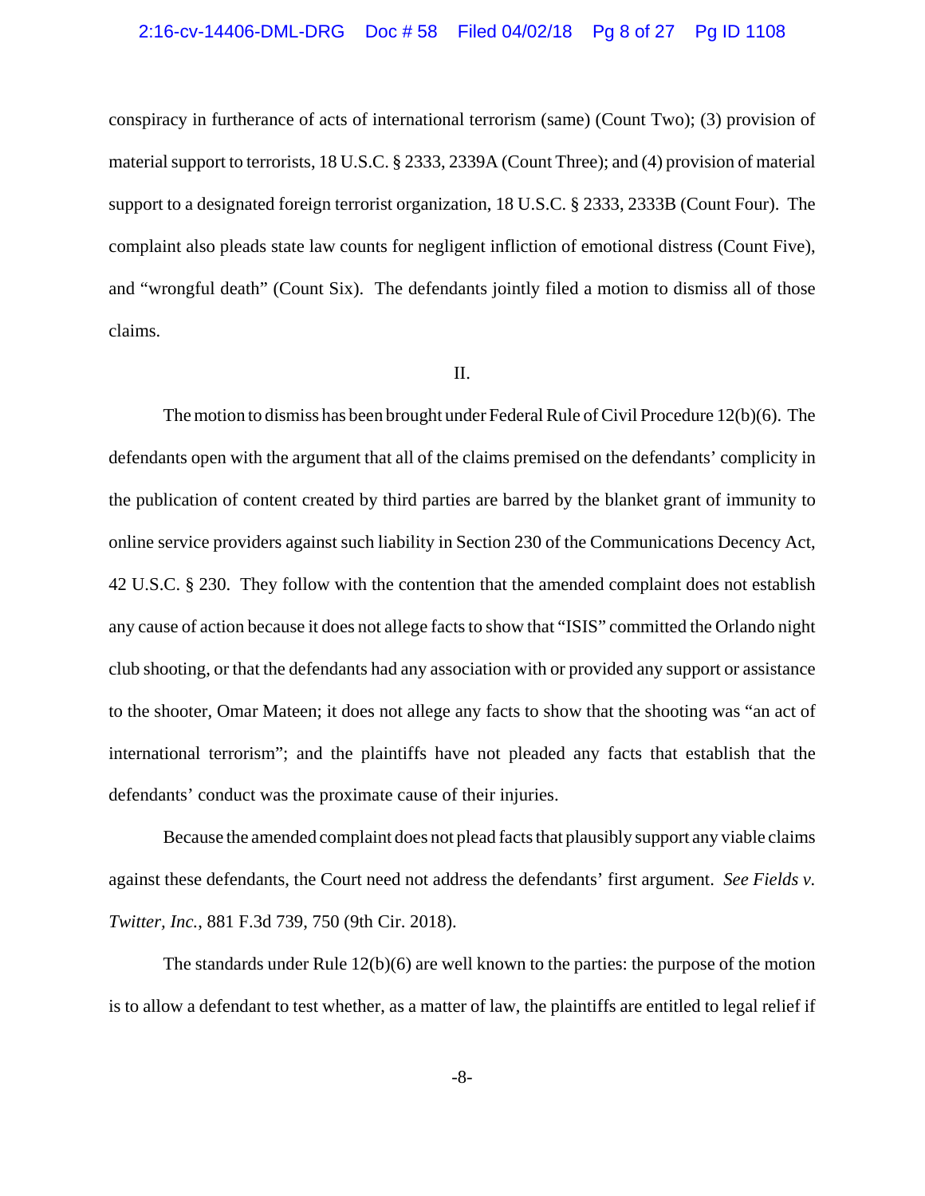#### 2:16-cv-14406-DML-DRG Doc # 58 Filed 04/02/18 Pg 8 of 27 Pg ID 1108

conspiracy in furtherance of acts of international terrorism (same) (Count Two); (3) provision of material support to terrorists, 18 U.S.C. § 2333, 2339A (Count Three); and (4) provision of material support to a designated foreign terrorist organization, 18 U.S.C. § 2333, 2333B (Count Four). The complaint also pleads state law counts for negligent infliction of emotional distress (Count Five), and "wrongful death" (Count Six). The defendants jointly filed a motion to dismiss all of those claims.

### II.

The motion to dismiss has been brought under Federal Rule of Civil Procedure 12(b)(6). The defendants open with the argument that all of the claims premised on the defendants' complicity in the publication of content created by third parties are barred by the blanket grant of immunity to online service providers against such liability in Section 230 of the Communications Decency Act, 42 U.S.C. § 230. They follow with the contention that the amended complaint does not establish any cause of action because it does not allege facts to show that "ISIS" committed the Orlando night club shooting, or that the defendants had any association with or provided any support or assistance to the shooter, Omar Mateen; it does not allege any facts to show that the shooting was "an act of international terrorism"; and the plaintiffs have not pleaded any facts that establish that the defendants' conduct was the proximate cause of their injuries.

Because the amended complaint does not plead facts that plausibly support any viable claims against these defendants, the Court need not address the defendants' first argument. *See Fields v. Twitter, Inc.*, 881 F.3d 739, 750 (9th Cir. 2018).

The standards under Rule 12(b)(6) are well known to the parties: the purpose of the motion is to allow a defendant to test whether, as a matter of law, the plaintiffs are entitled to legal relief if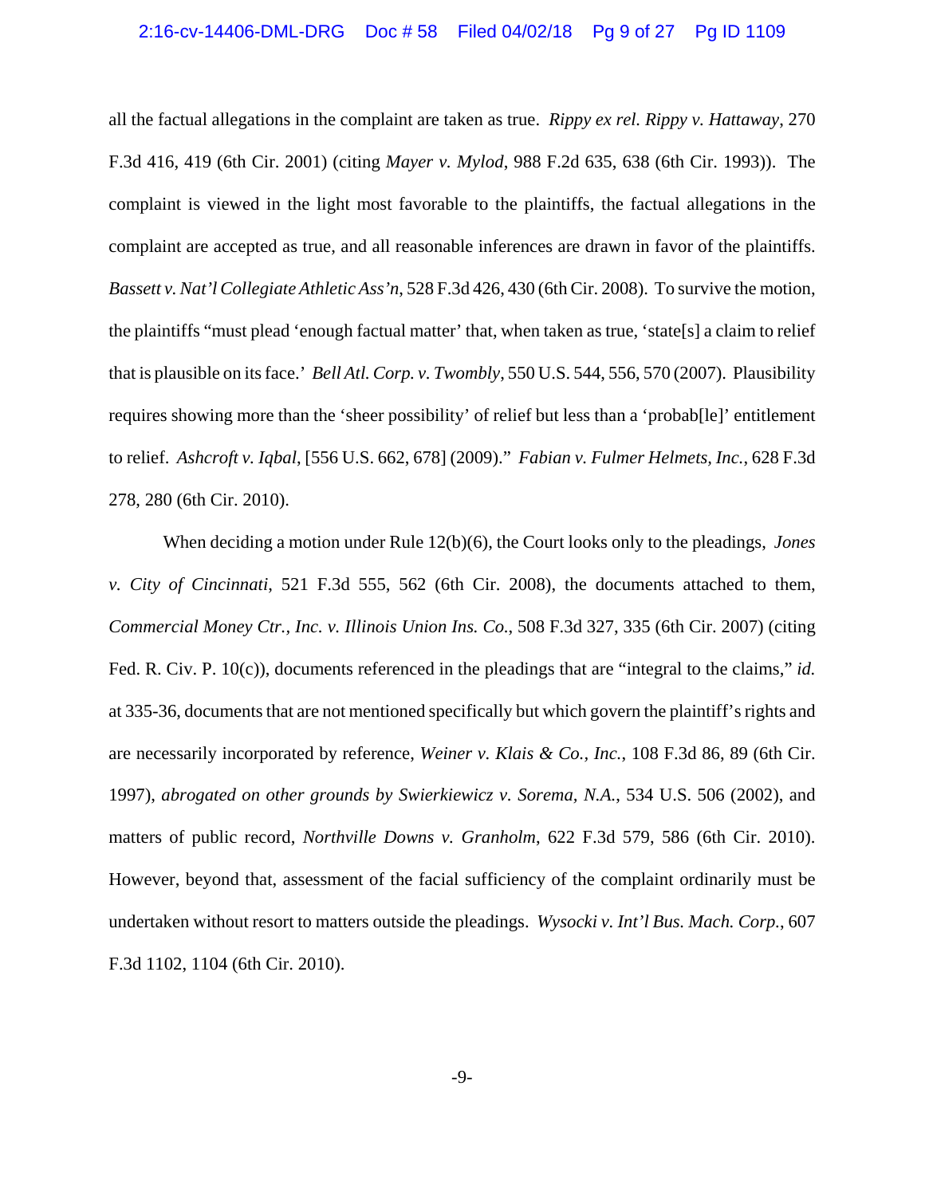#### 2:16-cv-14406-DML-DRG Doc # 58 Filed 04/02/18 Pg 9 of 27 Pg ID 1109

all the factual allegations in the complaint are taken as true. *Rippy ex rel. Rippy v. Hattaway*, 270 F.3d 416, 419 (6th Cir. 2001) (citing *Mayer v. Mylod*, 988 F.2d 635, 638 (6th Cir. 1993)). The complaint is viewed in the light most favorable to the plaintiffs, the factual allegations in the complaint are accepted as true, and all reasonable inferences are drawn in favor of the plaintiffs. *Bassett v. Nat'l Collegiate Athletic Ass'n*, 528 F.3d 426, 430 (6th Cir. 2008). To survive the motion, the plaintiffs "must plead 'enough factual matter' that, when taken as true, 'state[s] a claim to relief that is plausible on its face.' *Bell Atl. Corp. v. Twombly*, 550 U.S. 544, 556, 570 (2007). Plausibility requires showing more than the 'sheer possibility' of relief but less than a 'probab[le]' entitlement to relief. *Ashcroft v. Iqbal*, [556 U.S. 662, 678] (2009)." *Fabian v. Fulmer Helmets, Inc.*, 628 F.3d 278, 280 (6th Cir. 2010).

When deciding a motion under Rule 12(b)(6), the Court looks only to the pleadings, *Jones v. City of Cincinnati*, 521 F.3d 555, 562 (6th Cir. 2008), the documents attached to them, *Commercial Money Ctr., Inc. v. Illinois Union Ins. Co.*, 508 F.3d 327, 335 (6th Cir. 2007) (citing Fed. R. Civ. P. 10(c)), documents referenced in the pleadings that are "integral to the claims," *id.* at 335-36, documents that are not mentioned specifically but which govern the plaintiff's rights and are necessarily incorporated by reference, *Weiner v. Klais & Co., Inc.*, 108 F.3d 86, 89 (6th Cir. 1997), *abrogated on other grounds by Swierkiewicz v. Sorema, N.A.*, 534 U.S. 506 (2002), and matters of public record, *Northville Downs v. Granholm*, 622 F.3d 579, 586 (6th Cir. 2010). However, beyond that, assessment of the facial sufficiency of the complaint ordinarily must be undertaken without resort to matters outside the pleadings. *Wysocki v. Int'l Bus. Mach. Corp.*, 607 F.3d 1102, 1104 (6th Cir. 2010).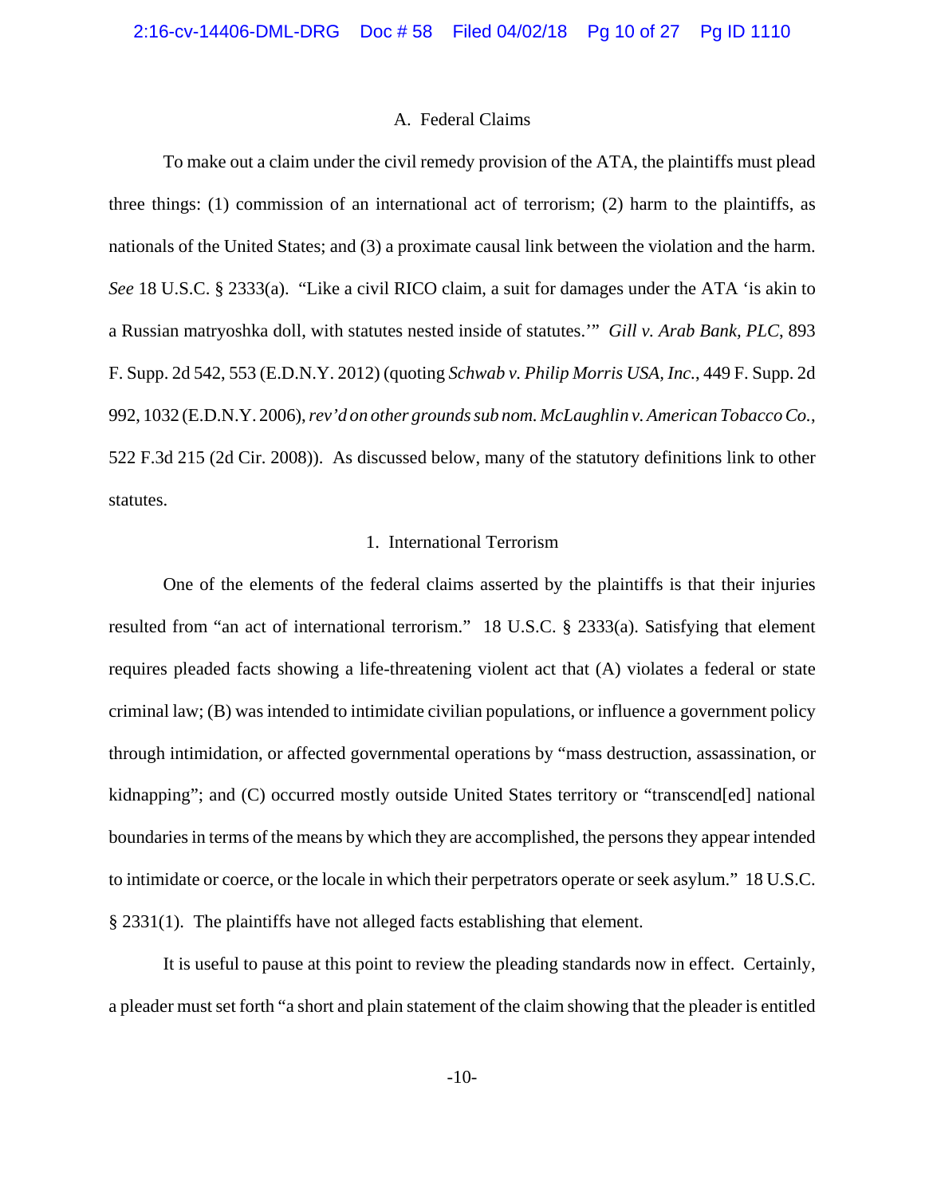### A. Federal Claims

To make out a claim under the civil remedy provision of the ATA, the plaintiffs must plead three things: (1) commission of an international act of terrorism; (2) harm to the plaintiffs, as nationals of the United States; and (3) a proximate causal link between the violation and the harm. *See* 18 U.S.C. § 2333(a). "Like a civil RICO claim, a suit for damages under the ATA 'is akin to a Russian matryoshka doll, with statutes nested inside of statutes.'" *Gill v. Arab Bank, PLC*, 893 F. Supp. 2d 542, 553 (E.D.N.Y. 2012) (quoting *Schwab v. Philip Morris USA, Inc.*, 449 F. Supp. 2d 992, 1032 (E.D.N.Y. 2006), *rev'd on other grounds sub nom. McLaughlin v. American Tobacco Co.*, 522 F.3d 215 (2d Cir. 2008)). As discussed below, many of the statutory definitions link to other statutes.

## 1. International Terrorism

One of the elements of the federal claims asserted by the plaintiffs is that their injuries resulted from "an act of international terrorism." 18 U.S.C. § 2333(a). Satisfying that element requires pleaded facts showing a life-threatening violent act that (A) violates a federal or state criminal law; (B) was intended to intimidate civilian populations, or influence a government policy through intimidation, or affected governmental operations by "mass destruction, assassination, or kidnapping"; and (C) occurred mostly outside United States territory or "transcend[ed] national boundaries in terms of the means by which they are accomplished, the persons they appear intended to intimidate or coerce, or the locale in which their perpetrators operate or seek asylum." 18 U.S.C. § 2331(1). The plaintiffs have not alleged facts establishing that element.

It is useful to pause at this point to review the pleading standards now in effect. Certainly, a pleader must set forth "a short and plain statement of the claim showing that the pleader is entitled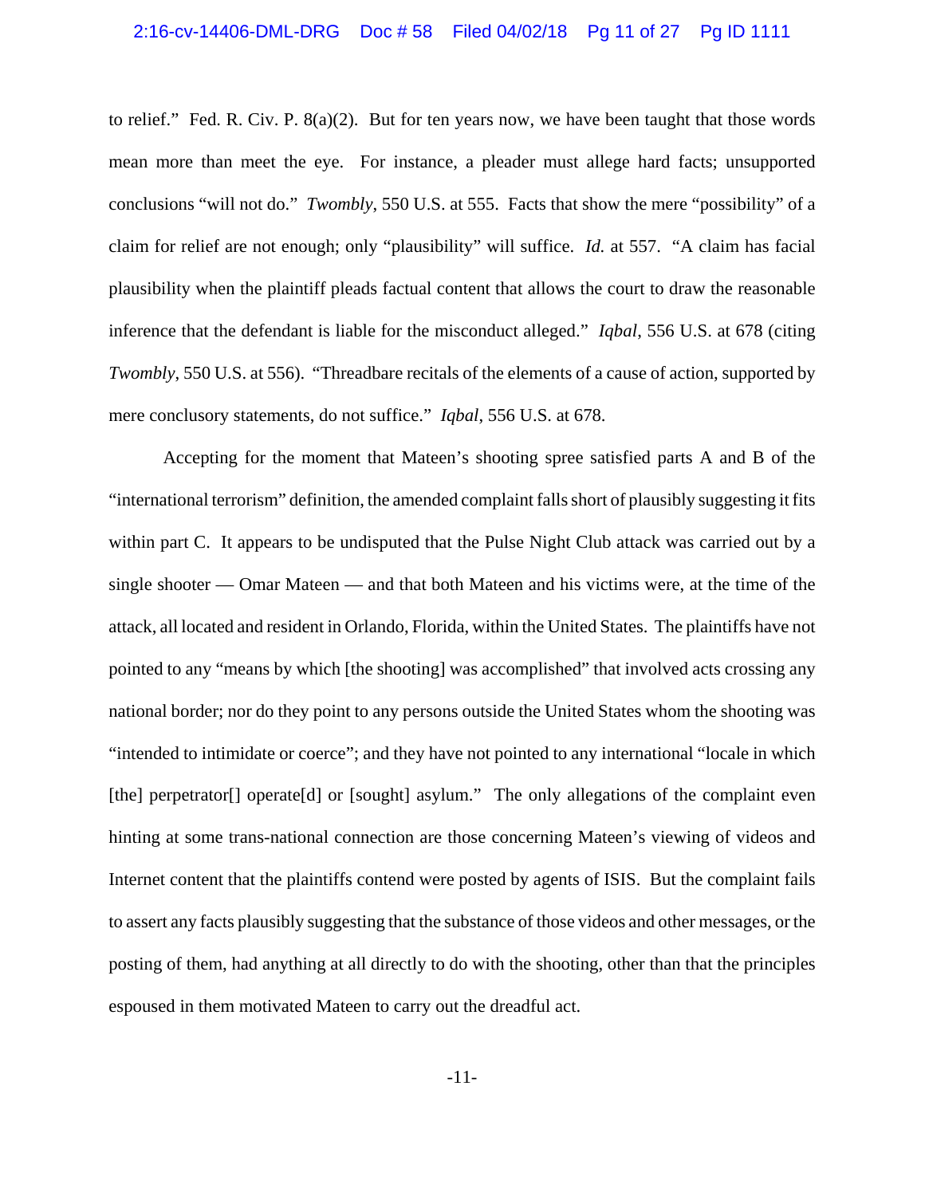## 2:16-cv-14406-DML-DRG Doc # 58 Filed 04/02/18 Pg 11 of 27 Pg ID 1111

to relief." Fed. R. Civ. P.  $8(a)(2)$ . But for ten years now, we have been taught that those words mean more than meet the eye. For instance, a pleader must allege hard facts; unsupported conclusions "will not do." *Twombly*, 550 U.S. at 555. Facts that show the mere "possibility" of a claim for relief are not enough; only "plausibility" will suffice. *Id.* at 557. "A claim has facial plausibility when the plaintiff pleads factual content that allows the court to draw the reasonable inference that the defendant is liable for the misconduct alleged." *Iqbal*, 556 U.S. at 678 (citing *Twombly*, 550 U.S. at 556). "Threadbare recitals of the elements of a cause of action, supported by mere conclusory statements, do not suffice." *Iqbal*, 556 U.S. at 678.

Accepting for the moment that Mateen's shooting spree satisfied parts A and B of the "international terrorism" definition, the amended complaint falls short of plausibly suggesting it fits within part C. It appears to be undisputed that the Pulse Night Club attack was carried out by a single shooter — Omar Mateen — and that both Mateen and his victims were, at the time of the attack, all located and resident in Orlando, Florida, within the United States. The plaintiffs have not pointed to any "means by which [the shooting] was accomplished" that involved acts crossing any national border; nor do they point to any persons outside the United States whom the shooting was "intended to intimidate or coerce"; and they have not pointed to any international "locale in which [the] perpetrator[] operate[d] or [sought] asylum." The only allegations of the complaint even hinting at some trans-national connection are those concerning Mateen's viewing of videos and Internet content that the plaintiffs contend were posted by agents of ISIS. But the complaint fails to assert any facts plausibly suggesting that the substance of those videos and other messages, or the posting of them, had anything at all directly to do with the shooting, other than that the principles espoused in them motivated Mateen to carry out the dreadful act.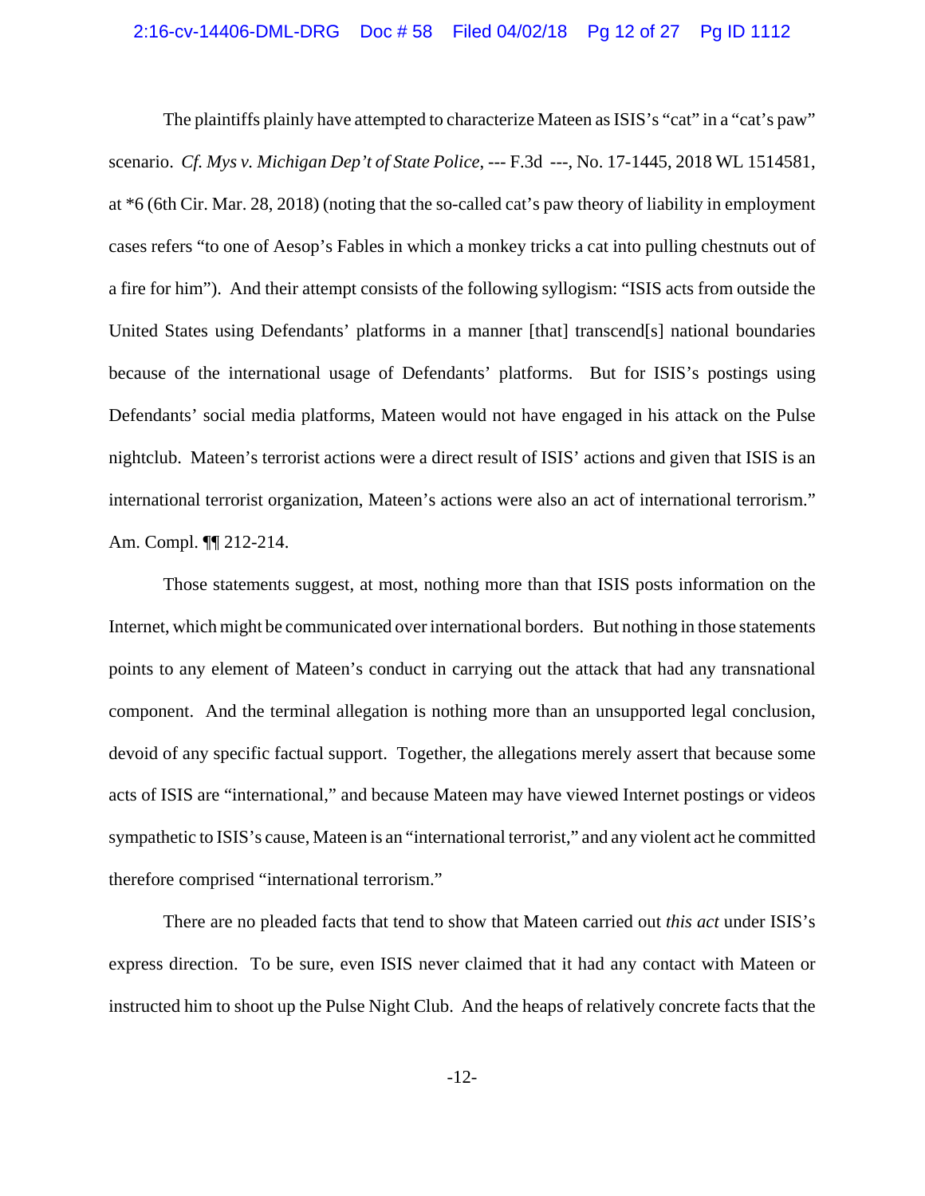## 2:16-cv-14406-DML-DRG Doc # 58 Filed 04/02/18 Pg 12 of 27 Pg ID 1112

The plaintiffs plainly have attempted to characterize Mateen as ISIS's "cat" in a "cat's paw" scenario. *Cf. Mys v. Michigan Dep't of State Police*, --- F.3d ---, No. 17-1445, 2018 WL 1514581, at \*6 (6th Cir. Mar. 28, 2018) (noting that the so-called cat's paw theory of liability in employment cases refers "to one of Aesop's Fables in which a monkey tricks a cat into pulling chestnuts out of a fire for him"). And their attempt consists of the following syllogism: "ISIS acts from outside the United States using Defendants' platforms in a manner [that] transcend[s] national boundaries because of the international usage of Defendants' platforms. But for ISIS's postings using Defendants' social media platforms, Mateen would not have engaged in his attack on the Pulse nightclub. Mateen's terrorist actions were a direct result of ISIS' actions and given that ISIS is an international terrorist organization, Mateen's actions were also an act of international terrorism." Am. Compl. ¶¶ 212-214.

Those statements suggest, at most, nothing more than that ISIS posts information on the Internet, which might be communicated over international borders. But nothing in those statements points to any element of Mateen's conduct in carrying out the attack that had any transnational component. And the terminal allegation is nothing more than an unsupported legal conclusion, devoid of any specific factual support. Together, the allegations merely assert that because some acts of ISIS are "international," and because Mateen may have viewed Internet postings or videos sympathetic to ISIS's cause, Mateen is an "international terrorist," and any violent act he committed therefore comprised "international terrorism."

There are no pleaded facts that tend to show that Mateen carried out *this act* under ISIS's express direction. To be sure, even ISIS never claimed that it had any contact with Mateen or instructed him to shoot up the Pulse Night Club. And the heaps of relatively concrete facts that the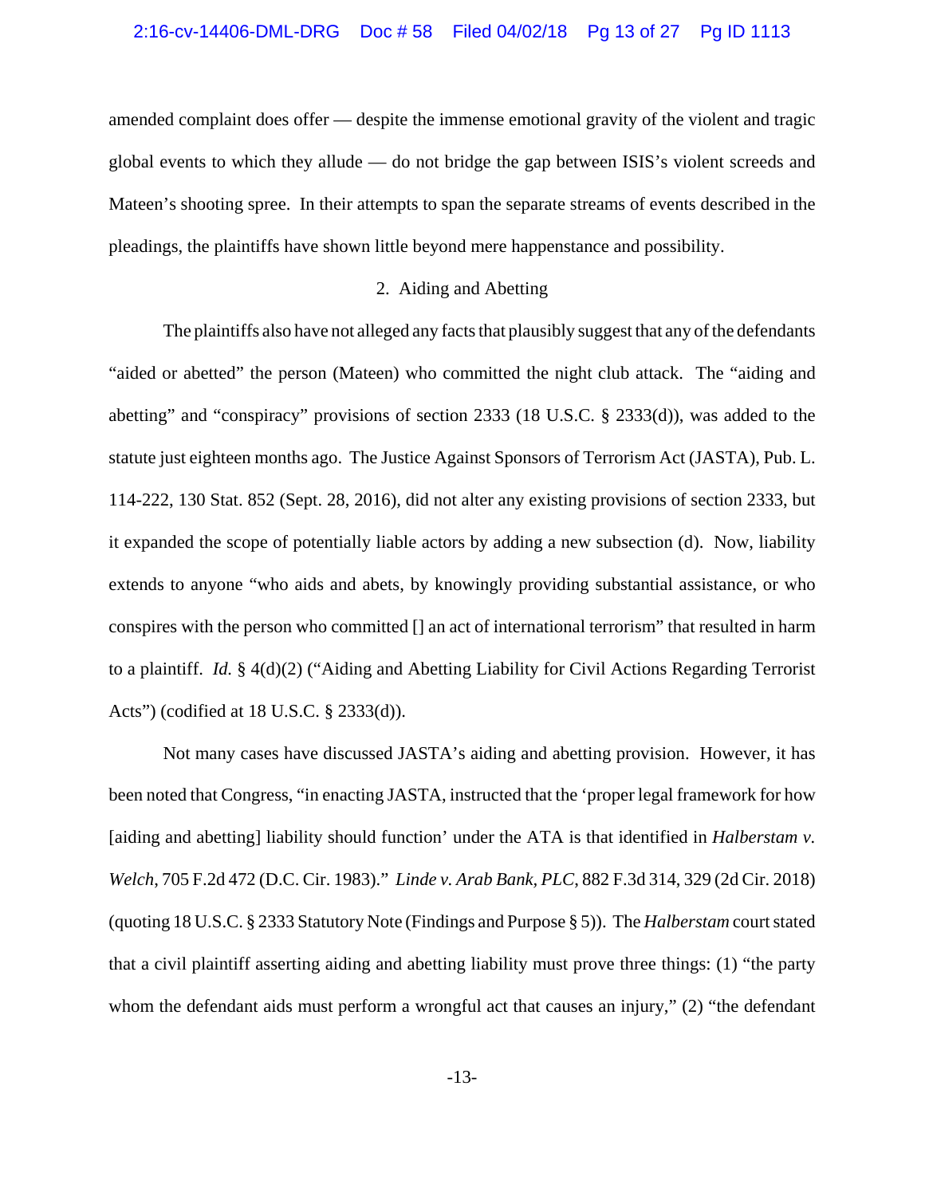## 2:16-cv-14406-DML-DRG Doc # 58 Filed 04/02/18 Pg 13 of 27 Pg ID 1113

amended complaint does offer — despite the immense emotional gravity of the violent and tragic global events to which they allude — do not bridge the gap between ISIS's violent screeds and Mateen's shooting spree. In their attempts to span the separate streams of events described in the pleadings, the plaintiffs have shown little beyond mere happenstance and possibility.

## 2. Aiding and Abetting

The plaintiffs also have not alleged any facts that plausibly suggest that any of the defendants "aided or abetted" the person (Mateen) who committed the night club attack. The "aiding and abetting" and "conspiracy" provisions of section 2333 (18 U.S.C. § 2333(d)), was added to the statute just eighteen months ago. The Justice Against Sponsors of Terrorism Act (JASTA), Pub. L. 114-222, 130 Stat. 852 (Sept. 28, 2016), did not alter any existing provisions of section 2333, but it expanded the scope of potentially liable actors by adding a new subsection (d). Now, liability extends to anyone "who aids and abets, by knowingly providing substantial assistance, or who conspires with the person who committed [] an act of international terrorism" that resulted in harm to a plaintiff. *Id.* § 4(d)(2) ("Aiding and Abetting Liability for Civil Actions Regarding Terrorist Acts") (codified at 18 U.S.C. § 2333(d)).

Not many cases have discussed JASTA's aiding and abetting provision. However, it has been noted that Congress, "in enacting JASTA, instructed that the 'proper legal framework for how [aiding and abetting] liability should function' under the ATA is that identified in *Halberstam v. Welch*, 705 F.2d 472 (D.C. Cir. 1983)." *Linde v. Arab Bank, PLC*, 882 F.3d 314, 329 (2d Cir. 2018) (quoting 18 U.S.C. § 2333 Statutory Note (Findings and Purpose § 5)). The *Halberstam* court stated that a civil plaintiff asserting aiding and abetting liability must prove three things: (1) "the party whom the defendant aids must perform a wrongful act that causes an injury," (2) "the defendant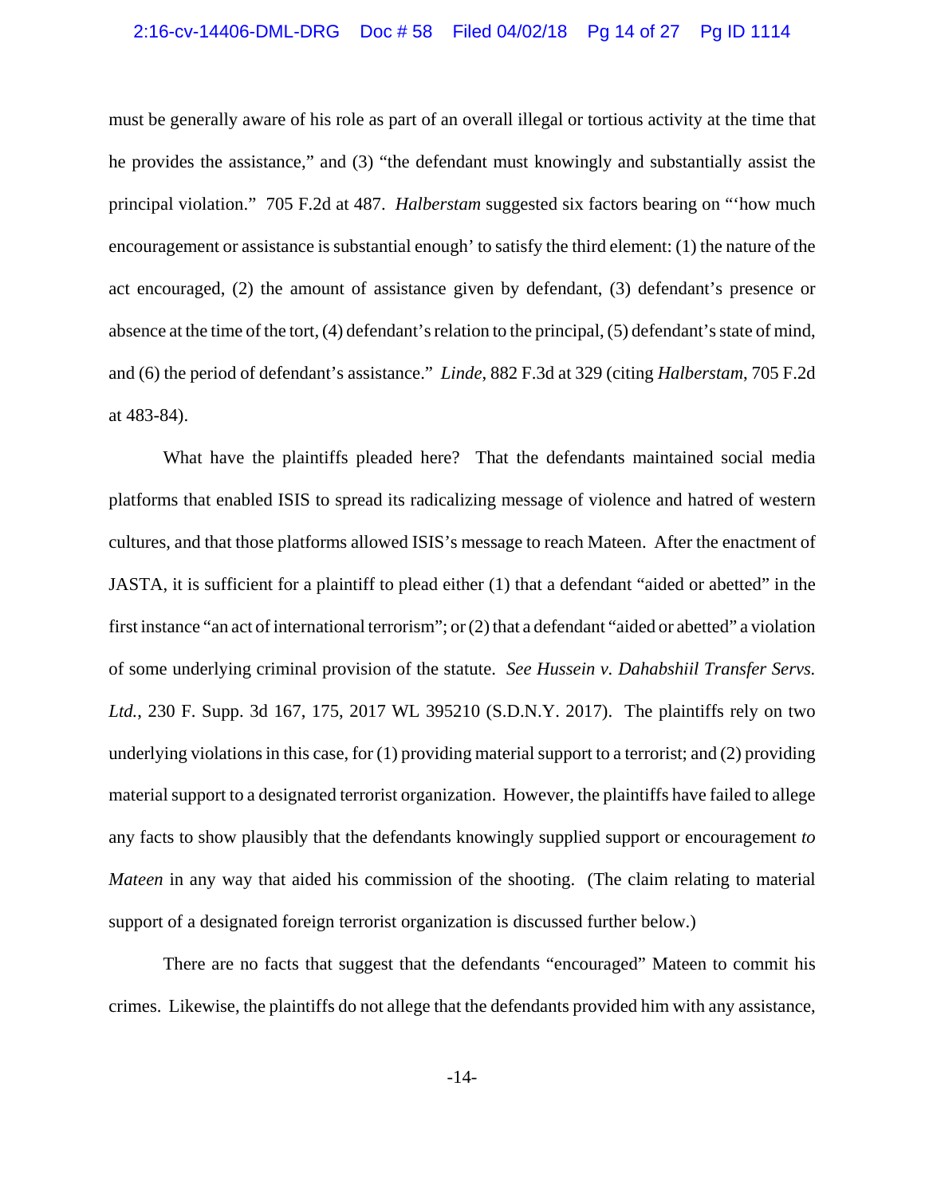## 2:16-cv-14406-DML-DRG Doc # 58 Filed 04/02/18 Pg 14 of 27 Pg ID 1114

must be generally aware of his role as part of an overall illegal or tortious activity at the time that he provides the assistance," and (3) "the defendant must knowingly and substantially assist the principal violation." 705 F.2d at 487. *Halberstam* suggested six factors bearing on "'how much encouragement or assistance is substantial enough' to satisfy the third element: (1) the nature of the act encouraged, (2) the amount of assistance given by defendant, (3) defendant's presence or absence at the time of the tort, (4) defendant's relation to the principal, (5) defendant's state of mind, and (6) the period of defendant's assistance." *Linde*, 882 F.3d at 329 (citing *Halberstam*, 705 F.2d at 483-84).

What have the plaintiffs pleaded here? That the defendants maintained social media platforms that enabled ISIS to spread its radicalizing message of violence and hatred of western cultures, and that those platforms allowed ISIS's message to reach Mateen. After the enactment of JASTA, it is sufficient for a plaintiff to plead either (1) that a defendant "aided or abetted" in the first instance "an act of international terrorism"; or (2) that a defendant "aided or abetted" a violation of some underlying criminal provision of the statute. *See Hussein v. Dahabshiil Transfer Servs. Ltd.*, 230 F. Supp. 3d 167, 175, 2017 WL 395210 (S.D.N.Y. 2017). The plaintiffs rely on two underlying violations in this case, for (1) providing material support to a terrorist; and (2) providing material support to a designated terrorist organization. However, the plaintiffs have failed to allege any facts to show plausibly that the defendants knowingly supplied support or encouragement *to Mateen* in any way that aided his commission of the shooting. (The claim relating to material support of a designated foreign terrorist organization is discussed further below.)

There are no facts that suggest that the defendants "encouraged" Mateen to commit his crimes. Likewise, the plaintiffs do not allege that the defendants provided him with any assistance,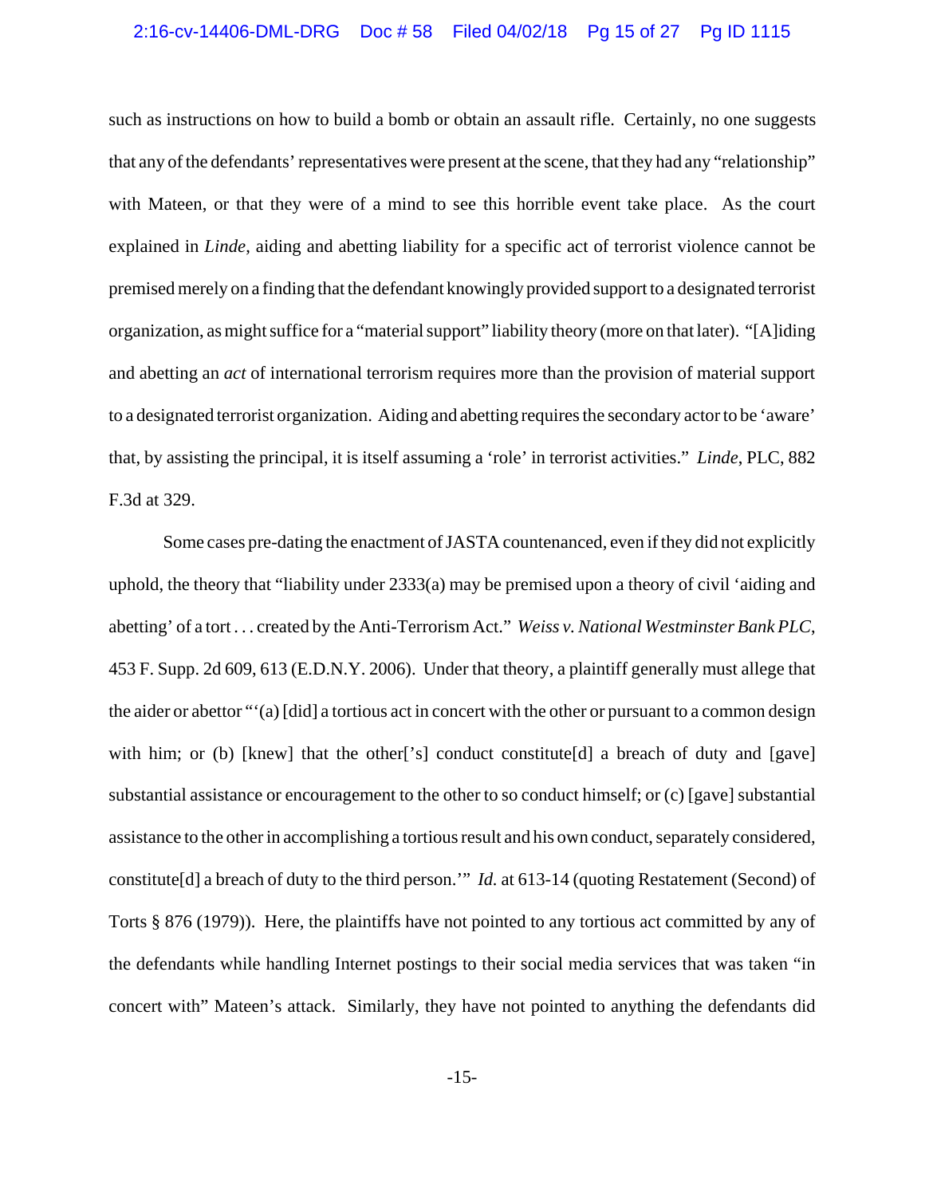#### 2:16-cv-14406-DML-DRG Doc # 58 Filed 04/02/18 Pg 15 of 27 Pg ID 1115

such as instructions on how to build a bomb or obtain an assault rifle. Certainly, no one suggests that any of the defendants' representatives were present at the scene, that they had any "relationship" with Mateen, or that they were of a mind to see this horrible event take place. As the court explained in *Linde*, aiding and abetting liability for a specific act of terrorist violence cannot be premised merely on a finding that the defendant knowingly provided support to a designated terrorist organization, as might suffice for a "material support" liability theory (more on that later). "[A]iding and abetting an *act* of international terrorism requires more than the provision of material support to a designated terrorist organization. Aiding and abetting requires the secondary actor to be 'aware' that, by assisting the principal, it is itself assuming a 'role' in terrorist activities." *Linde*, PLC, 882 F.3d at 329.

Some cases pre-dating the enactment of JASTA countenanced, even if they did not explicitly uphold, the theory that "liability under 2333(a) may be premised upon a theory of civil 'aiding and abetting' of a tort . . . created by the Anti-Terrorism Act." *Weiss v. National Westminster Bank PLC*, 453 F. Supp. 2d 609, 613 (E.D.N.Y. 2006). Under that theory, a plaintiff generally must allege that the aider or abettor "'(a) [did] a tortious act in concert with the other or pursuant to a common design with him; or (b) [knew] that the other['s] conduct constitute[d] a breach of duty and [gave] substantial assistance or encouragement to the other to so conduct himself; or (c) [gave] substantial assistance to the other in accomplishing a tortious result and his own conduct, separately considered, constitute[d] a breach of duty to the third person.'" *Id.* at 613-14 (quoting Restatement (Second) of Torts § 876 (1979)). Here, the plaintiffs have not pointed to any tortious act committed by any of the defendants while handling Internet postings to their social media services that was taken "in concert with" Mateen's attack. Similarly, they have not pointed to anything the defendants did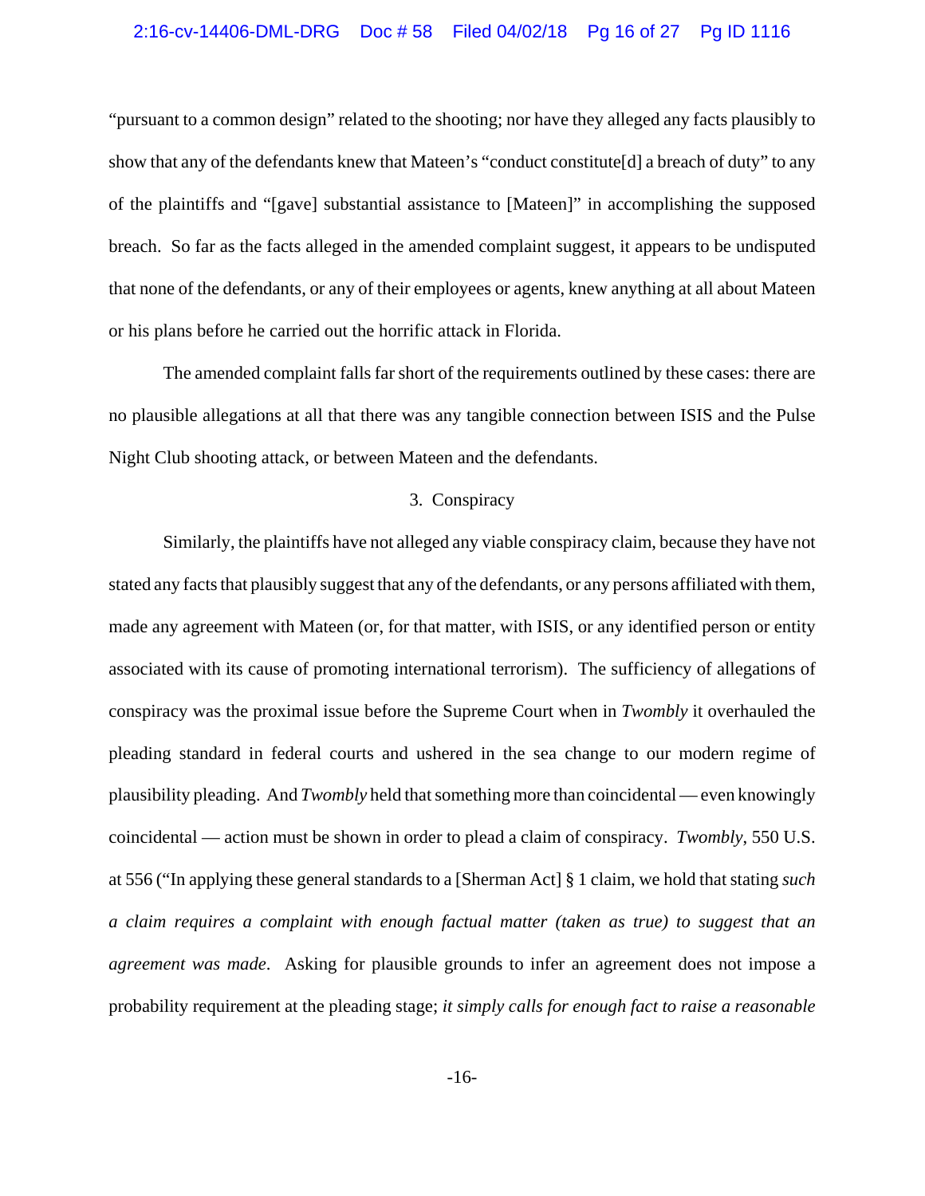#### 2:16-cv-14406-DML-DRG Doc # 58 Filed 04/02/18 Pg 16 of 27 Pg ID 1116

"pursuant to a common design" related to the shooting; nor have they alleged any facts plausibly to show that any of the defendants knew that Mateen's "conduct constitute[d] a breach of duty" to any of the plaintiffs and "[gave] substantial assistance to [Mateen]" in accomplishing the supposed breach. So far as the facts alleged in the amended complaint suggest, it appears to be undisputed that none of the defendants, or any of their employees or agents, knew anything at all about Mateen or his plans before he carried out the horrific attack in Florida.

The amended complaint falls far short of the requirements outlined by these cases: there are no plausible allegations at all that there was any tangible connection between ISIS and the Pulse Night Club shooting attack, or between Mateen and the defendants.

## 3. Conspiracy

Similarly, the plaintiffs have not alleged any viable conspiracy claim, because they have not stated any facts that plausibly suggest that any of the defendants, or any persons affiliated with them, made any agreement with Mateen (or, for that matter, with ISIS, or any identified person or entity associated with its cause of promoting international terrorism). The sufficiency of allegations of conspiracy was the proximal issue before the Supreme Court when in *Twombly* it overhauled the pleading standard in federal courts and ushered in the sea change to our modern regime of plausibility pleading. And *Twombly* held that something more than coincidental — even knowingly coincidental — action must be shown in order to plead a claim of conspiracy. *Twombly*, 550 U.S. at 556 ("In applying these general standards to a [Sherman Act] § 1 claim, we hold that stating *such a claim requires a complaint with enough factual matter (taken as true) to suggest that an agreement was made*. Asking for plausible grounds to infer an agreement does not impose a probability requirement at the pleading stage; *it simply calls for enough fact to raise a reasonable*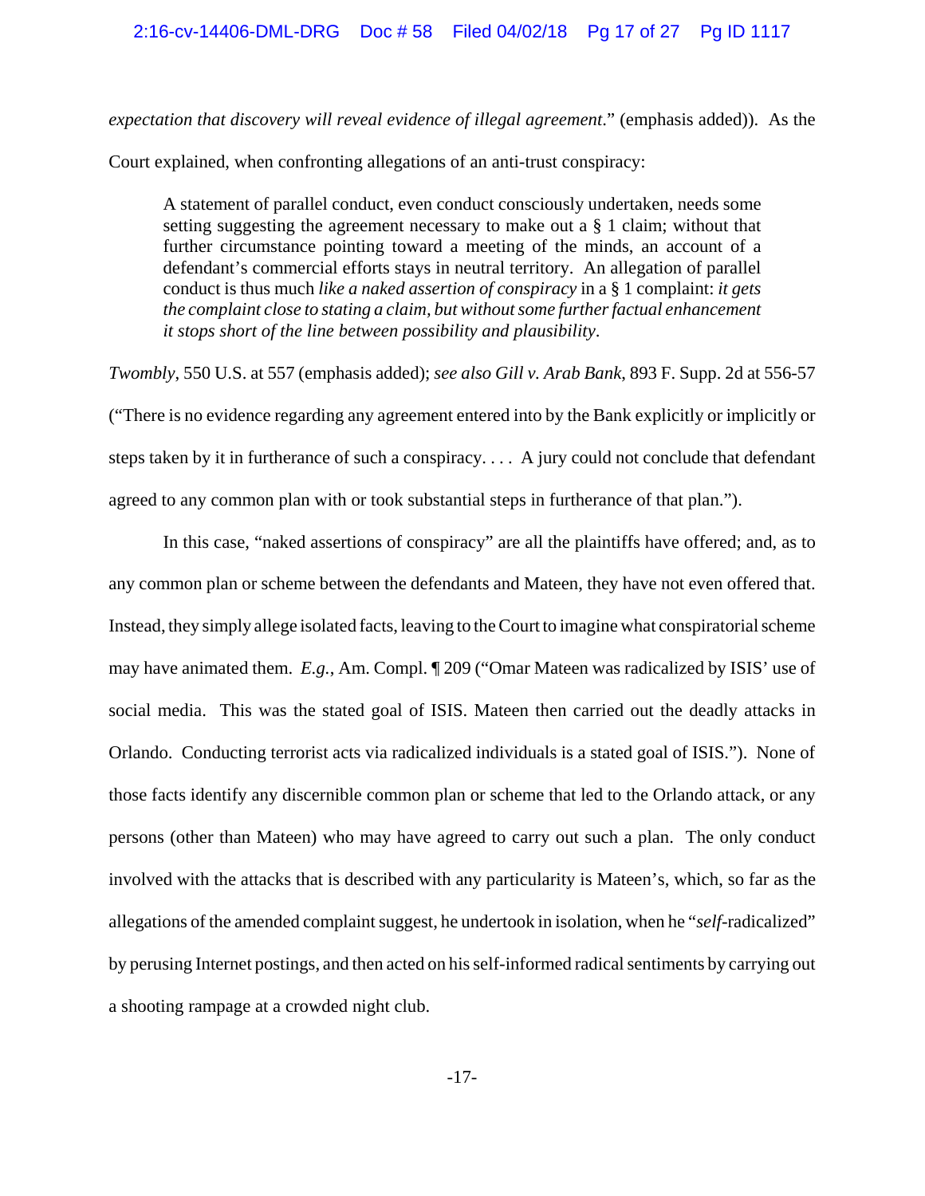### 2:16-cv-14406-DML-DRG Doc # 58 Filed 04/02/18 Pg 17 of 27 Pg ID 1117

*expectation that discovery will reveal evidence of illegal agreement*." (emphasis added)). As the

Court explained, when confronting allegations of an anti-trust conspiracy:

A statement of parallel conduct, even conduct consciously undertaken, needs some setting suggesting the agreement necessary to make out a § 1 claim; without that further circumstance pointing toward a meeting of the minds, an account of a defendant's commercial efforts stays in neutral territory. An allegation of parallel conduct is thus much *like a naked assertion of conspiracy* in a § 1 complaint: *it gets the complaint close to stating a claim, but without some further factual enhancement it stops short of the line between possibility and plausibility*.

*Twombly*, 550 U.S. at 557 (emphasis added); *see also Gill v. Arab Bank*, 893 F. Supp. 2d at 556-57 ("There is no evidence regarding any agreement entered into by the Bank explicitly or implicitly or steps taken by it in furtherance of such a conspiracy. . . . A jury could not conclude that defendant agreed to any common plan with or took substantial steps in furtherance of that plan.").

In this case, "naked assertions of conspiracy" are all the plaintiffs have offered; and, as to any common plan or scheme between the defendants and Mateen, they have not even offered that. Instead, they simply allege isolated facts, leaving to the Court to imagine what conspiratorial scheme may have animated them. *E.g.*, Am. Compl. ¶ 209 ("Omar Mateen was radicalized by ISIS' use of social media. This was the stated goal of ISIS. Mateen then carried out the deadly attacks in Orlando. Conducting terrorist acts via radicalized individuals is a stated goal of ISIS."). None of those facts identify any discernible common plan or scheme that led to the Orlando attack, or any persons (other than Mateen) who may have agreed to carry out such a plan. The only conduct involved with the attacks that is described with any particularity is Mateen's, which, so far as the allegations of the amended complaint suggest, he undertook in isolation, when he "*self*-radicalized" by perusing Internet postings, and then acted on his self-informed radical sentiments by carrying out a shooting rampage at a crowded night club.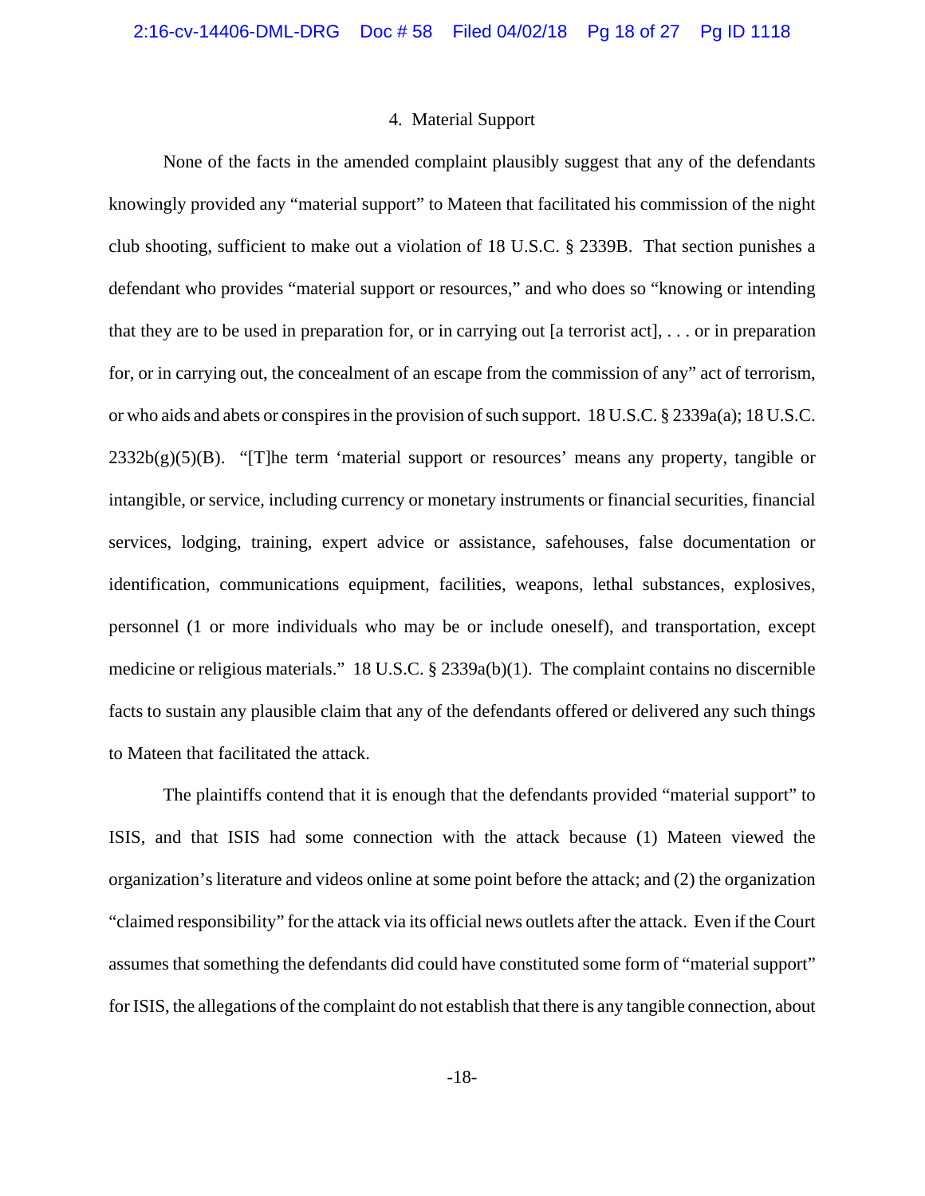## 4. Material Support

None of the facts in the amended complaint plausibly suggest that any of the defendants knowingly provided any "material support" to Mateen that facilitated his commission of the night club shooting, sufficient to make out a violation of 18 U.S.C. § 2339B. That section punishes a defendant who provides "material support or resources," and who does so "knowing or intending that they are to be used in preparation for, or in carrying out [a terrorist act],  $\dots$  or in preparation for, or in carrying out, the concealment of an escape from the commission of any" act of terrorism, or who aids and abets or conspires in the provision of such support. 18 U.S.C. § 2339a(a); 18 U.S.C.  $2332b(g)(5)(B)$ . "[T]he term 'material support or resources' means any property, tangible or intangible, or service, including currency or monetary instruments or financial securities, financial services, lodging, training, expert advice or assistance, safehouses, false documentation or identification, communications equipment, facilities, weapons, lethal substances, explosives, personnel (1 or more individuals who may be or include oneself), and transportation, except medicine or religious materials." 18 U.S.C. § 2339a(b)(1). The complaint contains no discernible facts to sustain any plausible claim that any of the defendants offered or delivered any such things to Mateen that facilitated the attack.

The plaintiffs contend that it is enough that the defendants provided "material support" to ISIS, and that ISIS had some connection with the attack because (1) Mateen viewed the organization's literature and videos online at some point before the attack; and (2) the organization "claimed responsibility" for the attack via its official news outlets after the attack. Even if the Court assumes that something the defendants did could have constituted some form of "material support" for ISIS, the allegations of the complaint do not establish that there is any tangible connection, about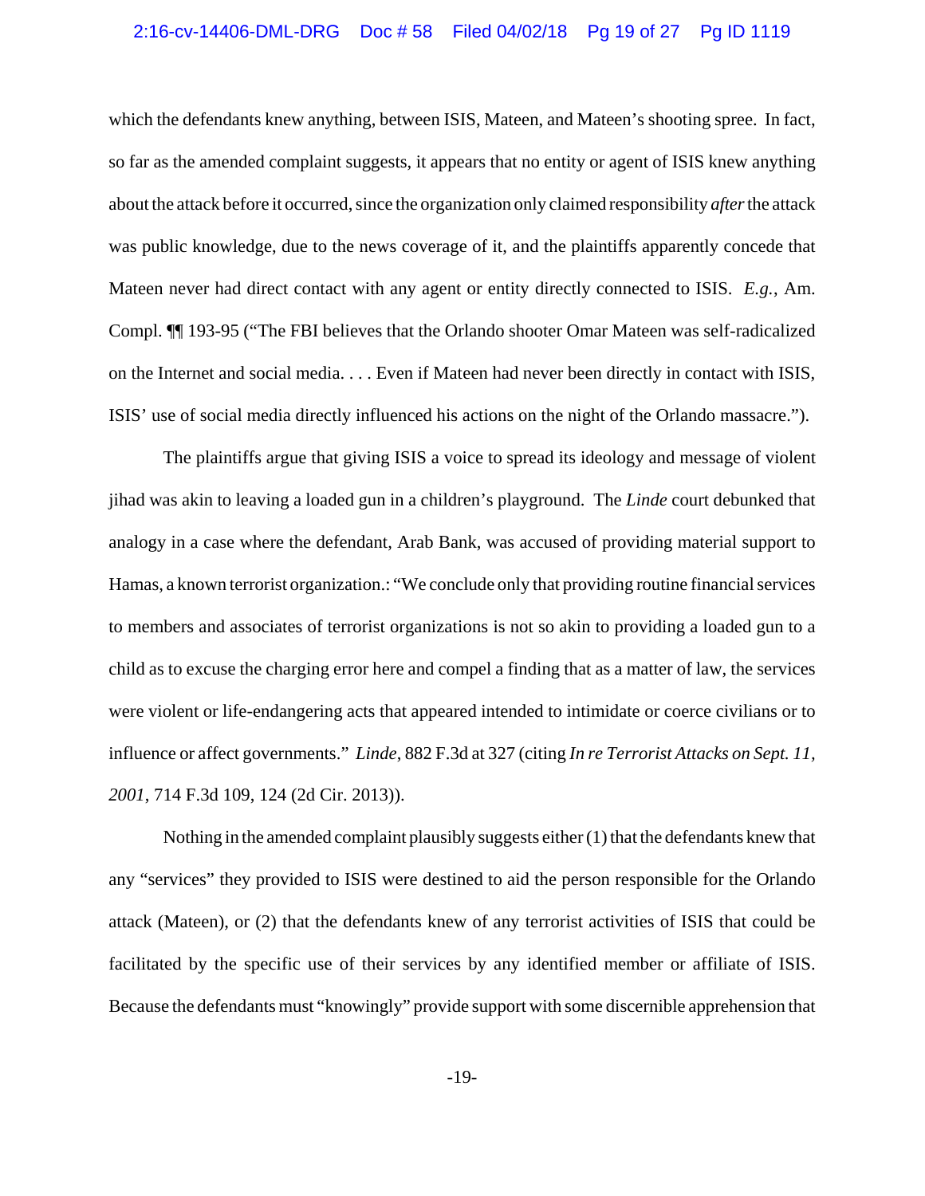### 2:16-cv-14406-DML-DRG Doc # 58 Filed 04/02/18 Pg 19 of 27 Pg ID 1119

which the defendants knew anything, between ISIS, Mateen, and Mateen's shooting spree. In fact, so far as the amended complaint suggests, it appears that no entity or agent of ISIS knew anything about the attack before it occurred, since the organization only claimed responsibility *after* the attack was public knowledge, due to the news coverage of it, and the plaintiffs apparently concede that Mateen never had direct contact with any agent or entity directly connected to ISIS. *E.g.*, Am. Compl. ¶¶ 193-95 ("The FBI believes that the Orlando shooter Omar Mateen was self-radicalized on the Internet and social media. . . . Even if Mateen had never been directly in contact with ISIS, ISIS' use of social media directly influenced his actions on the night of the Orlando massacre.").

The plaintiffs argue that giving ISIS a voice to spread its ideology and message of violent jihad was akin to leaving a loaded gun in a children's playground. The *Linde* court debunked that analogy in a case where the defendant, Arab Bank, was accused of providing material support to Hamas, a known terrorist organization.: "We conclude only that providing routine financial services to members and associates of terrorist organizations is not so akin to providing a loaded gun to a child as to excuse the charging error here and compel a finding that as a matter of law, the services were violent or life-endangering acts that appeared intended to intimidate or coerce civilians or to influence or affect governments." *Linde*, 882 F.3d at 327 (citing *In re Terrorist Attacks on Sept. 11, 2001*, 714 F.3d 109, 124 (2d Cir. 2013)).

Nothing in the amended complaint plausibly suggests either (1) that the defendants knew that any "services" they provided to ISIS were destined to aid the person responsible for the Orlando attack (Mateen), or (2) that the defendants knew of any terrorist activities of ISIS that could be facilitated by the specific use of their services by any identified member or affiliate of ISIS. Because the defendants must "knowingly" provide support with some discernible apprehension that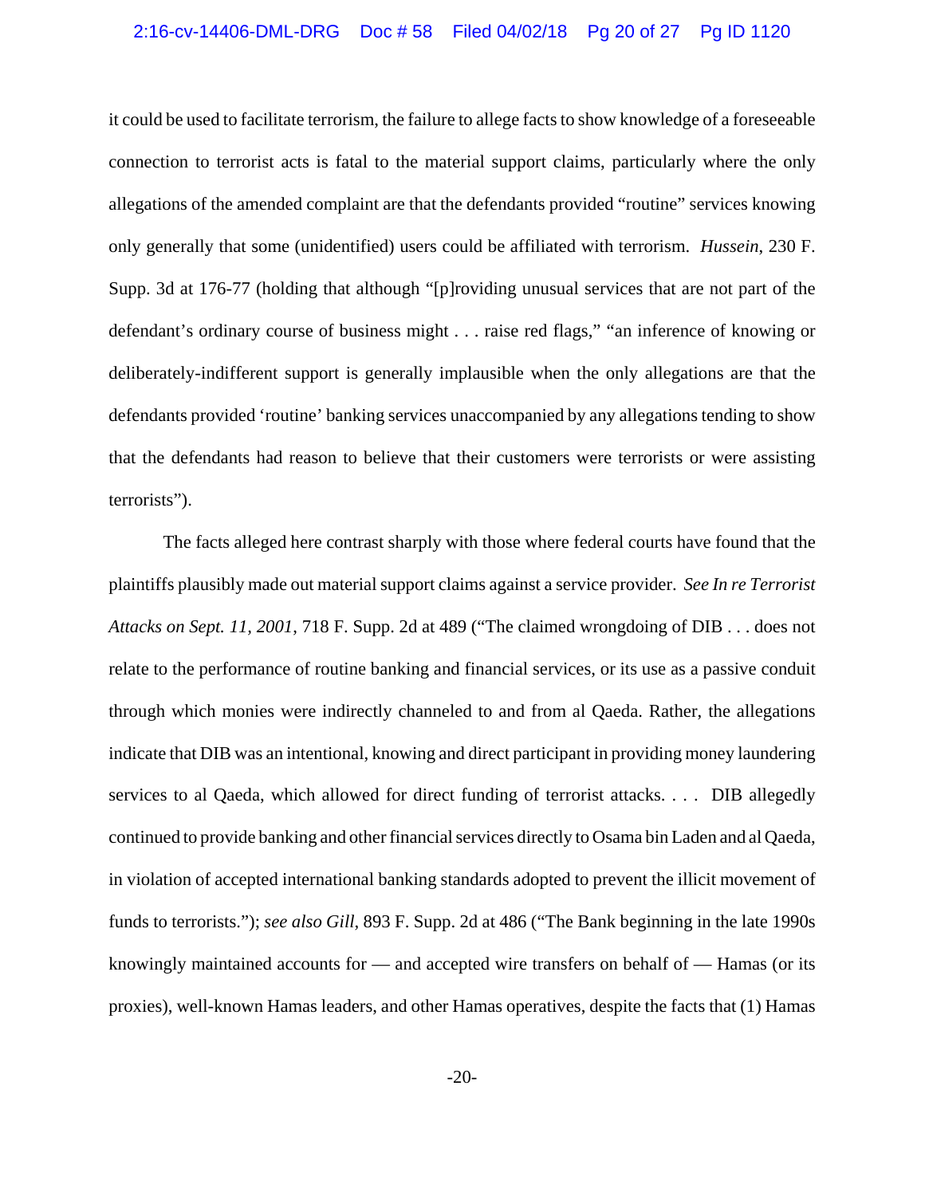### 2:16-cv-14406-DML-DRG Doc # 58 Filed 04/02/18 Pg 20 of 27 Pg ID 1120

it could be used to facilitate terrorism, the failure to allege facts to show knowledge of a foreseeable connection to terrorist acts is fatal to the material support claims, particularly where the only allegations of the amended complaint are that the defendants provided "routine" services knowing only generally that some (unidentified) users could be affiliated with terrorism. *Hussein*, 230 F. Supp. 3d at 176-77 (holding that although "[p]roviding unusual services that are not part of the defendant's ordinary course of business might . . . raise red flags," "an inference of knowing or deliberately-indifferent support is generally implausible when the only allegations are that the defendants provided 'routine' banking services unaccompanied by any allegations tending to show that the defendants had reason to believe that their customers were terrorists or were assisting terrorists").

The facts alleged here contrast sharply with those where federal courts have found that the plaintiffs plausibly made out material support claims against a service provider. *See In re Terrorist Attacks on Sept. 11, 2001*, 718 F. Supp. 2d at 489 ("The claimed wrongdoing of DIB . . . does not relate to the performance of routine banking and financial services, or its use as a passive conduit through which monies were indirectly channeled to and from al Qaeda. Rather, the allegations indicate that DIB was an intentional, knowing and direct participant in providing money laundering services to al Qaeda, which allowed for direct funding of terrorist attacks. . . . DIB allegedly continued to provide banking and other financial services directly to Osama bin Laden and al Qaeda, in violation of accepted international banking standards adopted to prevent the illicit movement of funds to terrorists."); *see also Gill*, 893 F. Supp. 2d at 486 ("The Bank beginning in the late 1990s knowingly maintained accounts for — and accepted wire transfers on behalf of — Hamas (or its proxies), well-known Hamas leaders, and other Hamas operatives, despite the facts that (1) Hamas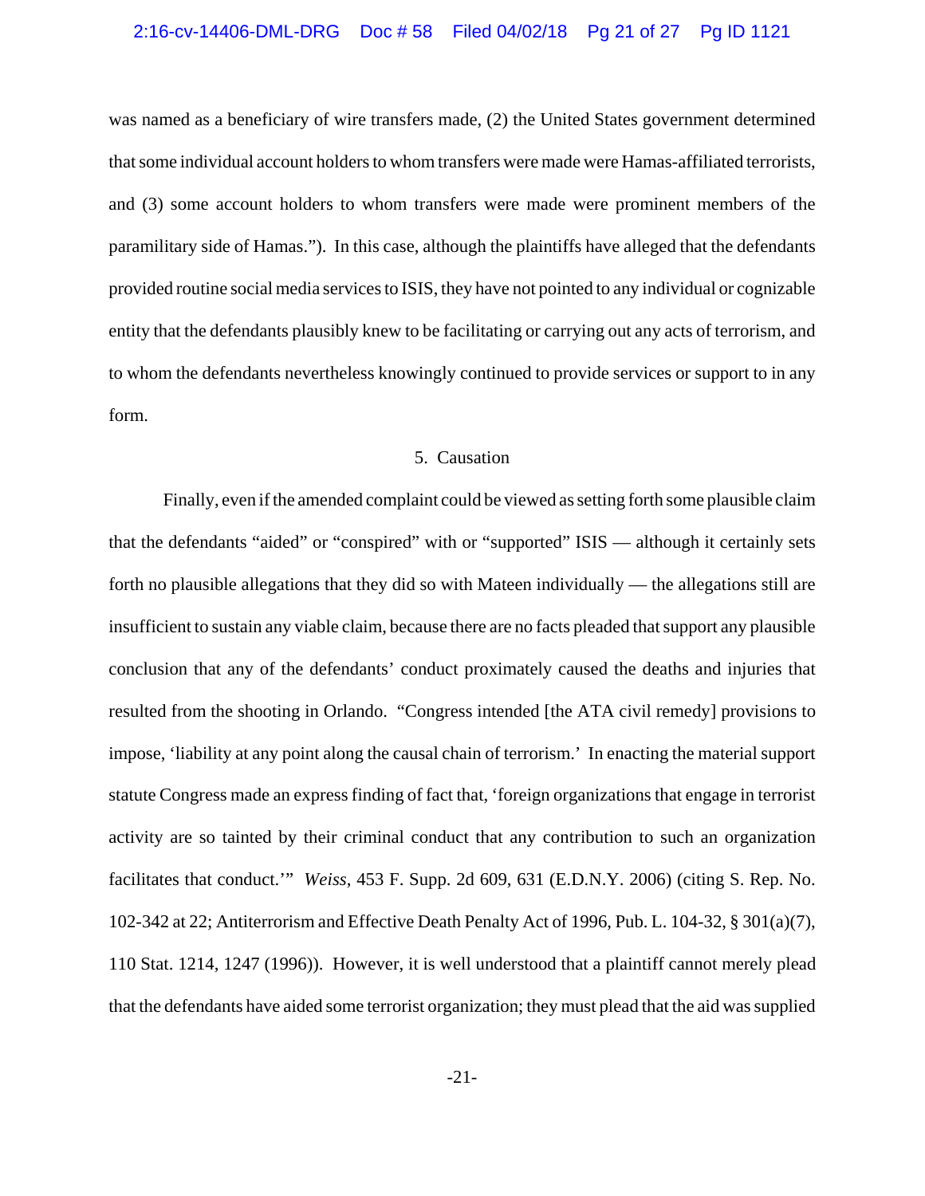### 2:16-cv-14406-DML-DRG Doc # 58 Filed 04/02/18 Pg 21 of 27 Pg ID 1121

was named as a beneficiary of wire transfers made, (2) the United States government determined that some individual account holders to whom transfers were made were Hamas-affiliated terrorists, and (3) some account holders to whom transfers were made were prominent members of the paramilitary side of Hamas."). In this case, although the plaintiffs have alleged that the defendants provided routine social media services to ISIS, they have not pointed to any individual or cognizable entity that the defendants plausibly knew to be facilitating or carrying out any acts of terrorism, and to whom the defendants nevertheless knowingly continued to provide services or support to in any form.

## 5. Causation

Finally, even if the amended complaint could be viewed as setting forth some plausible claim that the defendants "aided" or "conspired" with or "supported" ISIS — although it certainly sets forth no plausible allegations that they did so with Mateen individually — the allegations still are insufficient to sustain any viable claim, because there are no facts pleaded that support any plausible conclusion that any of the defendants' conduct proximately caused the deaths and injuries that resulted from the shooting in Orlando. "Congress intended [the ATA civil remedy] provisions to impose, 'liability at any point along the causal chain of terrorism.' In enacting the material support statute Congress made an express finding of fact that, 'foreign organizations that engage in terrorist activity are so tainted by their criminal conduct that any contribution to such an organization facilitates that conduct.'" *Weiss*, 453 F. Supp. 2d 609, 631 (E.D.N.Y. 2006) (citing S. Rep. No. 102-342 at 22; Antiterrorism and Effective Death Penalty Act of 1996, Pub. L. 104-32, § 301(a)(7), 110 Stat. 1214, 1247 (1996)). However, it is well understood that a plaintiff cannot merely plead that the defendants have aided some terrorist organization; they must plead that the aid was supplied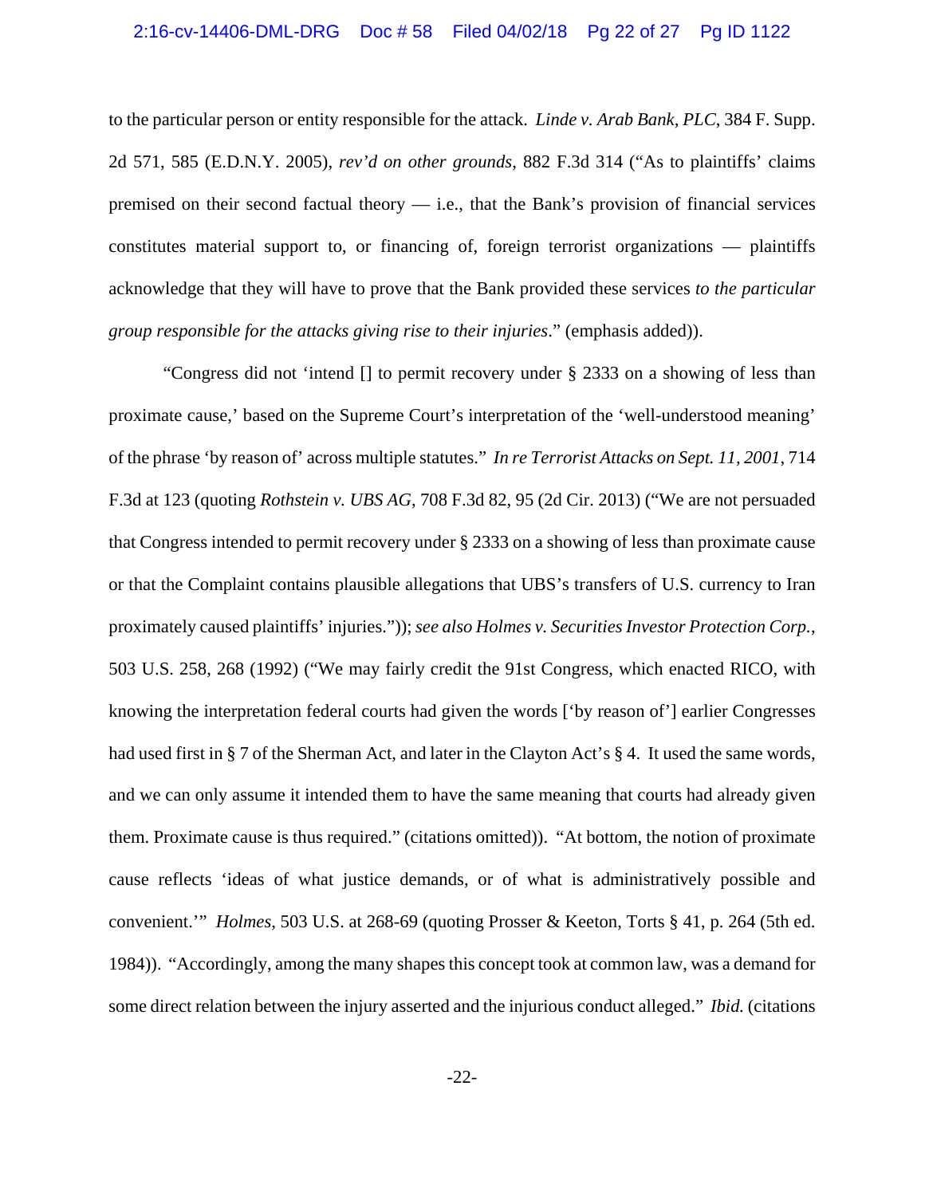## 2:16-cv-14406-DML-DRG Doc # 58 Filed 04/02/18 Pg 22 of 27 Pg ID 1122

to the particular person or entity responsible for the attack. *Linde v. Arab Bank, PLC*, 384 F. Supp. 2d 571, 585 (E.D.N.Y. 2005), *rev'd on other grounds*, 882 F.3d 314 ("As to plaintiffs' claims premised on their second factual theory  $-$  i.e., that the Bank's provision of financial services constitutes material support to, or financing of, foreign terrorist organizations — plaintiffs acknowledge that they will have to prove that the Bank provided these services *to the particular group responsible for the attacks giving rise to their injuries*." (emphasis added)).

"Congress did not 'intend [] to permit recovery under § 2333 on a showing of less than proximate cause,' based on the Supreme Court's interpretation of the 'well-understood meaning' of the phrase 'by reason of' across multiple statutes." *In re Terrorist Attacks on Sept. 11, 2001*, 714 F.3d at 123 (quoting *Rothstein v. UBS AG*, 708 F.3d 82, 95 (2d Cir. 2013) ("We are not persuaded that Congress intended to permit recovery under § 2333 on a showing of less than proximate cause or that the Complaint contains plausible allegations that UBS's transfers of U.S. currency to Iran proximately caused plaintiffs' injuries.")); *see also Holmes v. Securities Investor Protection Corp.*, 503 U.S. 258, 268 (1992) ("We may fairly credit the 91st Congress, which enacted RICO, with knowing the interpretation federal courts had given the words ['by reason of'] earlier Congresses had used first in § 7 of the Sherman Act, and later in the Clayton Act's § 4. It used the same words, and we can only assume it intended them to have the same meaning that courts had already given them. Proximate cause is thus required." (citations omitted)). "At bottom, the notion of proximate cause reflects 'ideas of what justice demands, or of what is administratively possible and convenient.'" *Holmes*, 503 U.S. at 268-69 (quoting Prosser & Keeton, Torts § 41, p. 264 (5th ed. 1984)). "Accordingly, among the many shapes this concept took at common law, was a demand for some direct relation between the injury asserted and the injurious conduct alleged." *Ibid.* (citations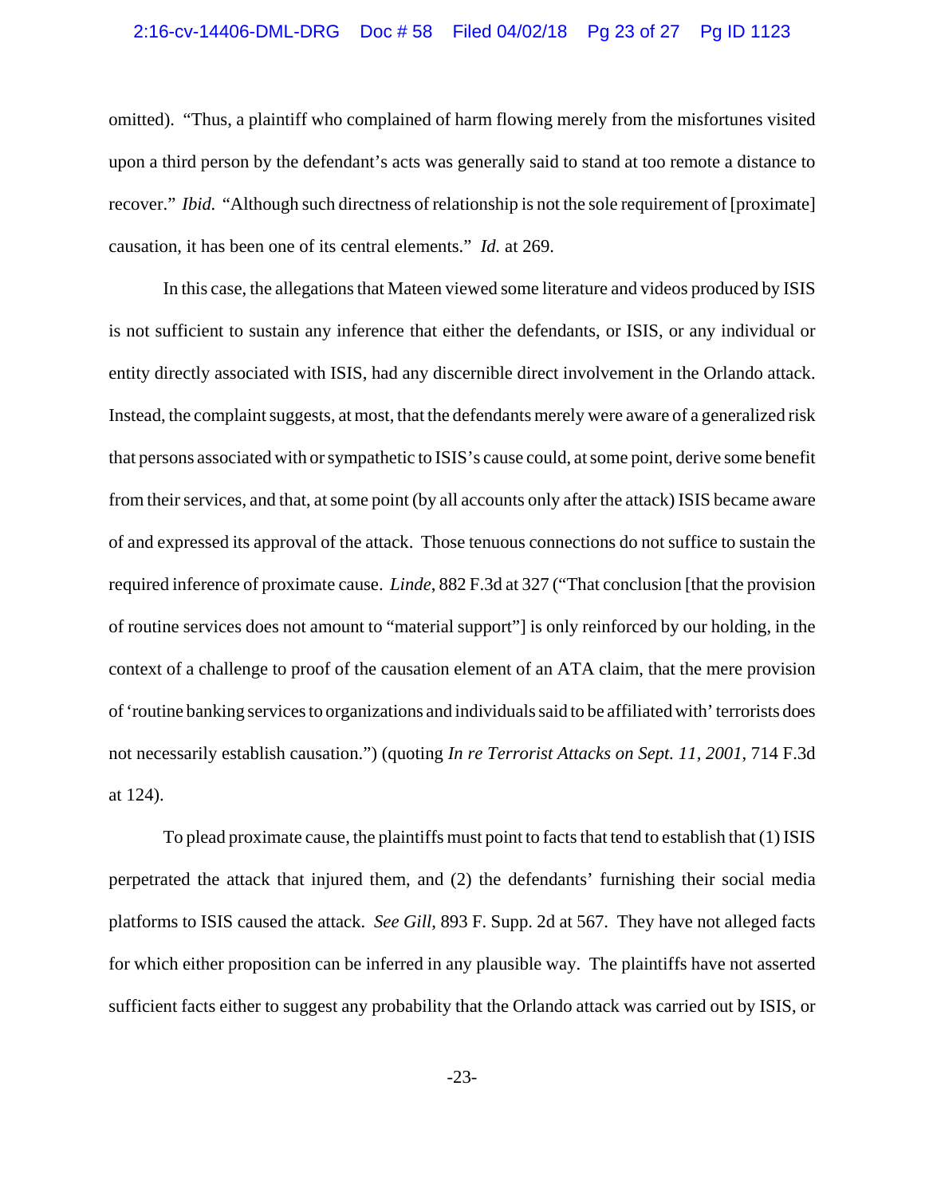### 2:16-cv-14406-DML-DRG Doc # 58 Filed 04/02/18 Pg 23 of 27 Pg ID 1123

omitted). "Thus, a plaintiff who complained of harm flowing merely from the misfortunes visited upon a third person by the defendant's acts was generally said to stand at too remote a distance to recover." *Ibid.* "Although such directness of relationship is not the sole requirement of [proximate] causation, it has been one of its central elements." *Id.* at 269.

In this case, the allegations that Mateen viewed some literature and videos produced by ISIS is not sufficient to sustain any inference that either the defendants, or ISIS, or any individual or entity directly associated with ISIS, had any discernible direct involvement in the Orlando attack. Instead, the complaint suggests, at most, that the defendants merely were aware of a generalized risk that persons associated with or sympathetic to ISIS's cause could, at some point, derive some benefit from their services, and that, at some point (by all accounts only after the attack) ISIS became aware of and expressed its approval of the attack. Those tenuous connections do not suffice to sustain the required inference of proximate cause. *Linde*, 882 F.3d at 327 ("That conclusion [that the provision of routine services does not amount to "material support"] is only reinforced by our holding, in the context of a challenge to proof of the causation element of an ATA claim, that the mere provision of 'routine banking services to organizations and individuals said to be affiliated with' terrorists does not necessarily establish causation.") (quoting *In re Terrorist Attacks on Sept. 11, 2001*, 714 F.3d at 124).

To plead proximate cause, the plaintiffs must point to facts that tend to establish that (1) ISIS perpetrated the attack that injured them, and (2) the defendants' furnishing their social media platforms to ISIS caused the attack. *See Gill*, 893 F. Supp. 2d at 567. They have not alleged facts for which either proposition can be inferred in any plausible way. The plaintiffs have not asserted sufficient facts either to suggest any probability that the Orlando attack was carried out by ISIS, or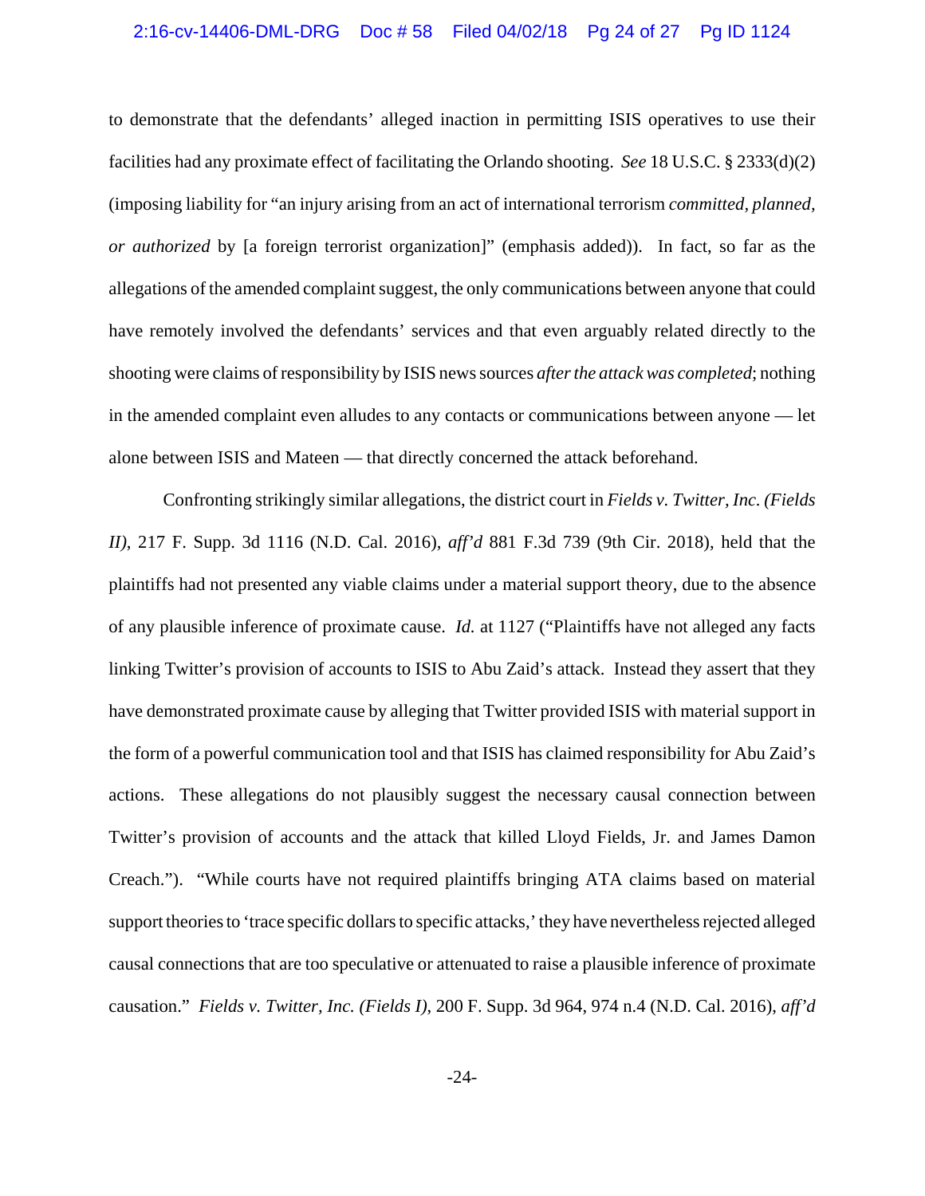### 2:16-cv-14406-DML-DRG Doc # 58 Filed 04/02/18 Pg 24 of 27 Pg ID 1124

to demonstrate that the defendants' alleged inaction in permitting ISIS operatives to use their facilities had any proximate effect of facilitating the Orlando shooting. *See* 18 U.S.C. § 2333(d)(2) (imposing liability for "an injury arising from an act of international terrorism *committed, planned, or authorized* by [a foreign terrorist organization]" (emphasis added)). In fact, so far as the allegations of the amended complaint suggest, the only communications between anyone that could have remotely involved the defendants' services and that even arguably related directly to the shooting were claims of responsibility by ISIS news sources *after the attack was completed*; nothing in the amended complaint even alludes to any contacts or communications between anyone — let alone between ISIS and Mateen — that directly concerned the attack beforehand.

Confronting strikingly similar allegations, the district court in *Fields v. Twitter, Inc. (Fields II)*, 217 F. Supp. 3d 1116 (N.D. Cal. 2016), *aff'd* 881 F.3d 739 (9th Cir. 2018), held that the plaintiffs had not presented any viable claims under a material support theory, due to the absence of any plausible inference of proximate cause. *Id.* at 1127 ("Plaintiffs have not alleged any facts linking Twitter's provision of accounts to ISIS to Abu Zaid's attack. Instead they assert that they have demonstrated proximate cause by alleging that Twitter provided ISIS with material support in the form of a powerful communication tool and that ISIS has claimed responsibility for Abu Zaid's actions. These allegations do not plausibly suggest the necessary causal connection between Twitter's provision of accounts and the attack that killed Lloyd Fields, Jr. and James Damon Creach."). "While courts have not required plaintiffs bringing ATA claims based on material support theories to 'trace specific dollars to specific attacks,' they have nevertheless rejected alleged causal connections that are too speculative or attenuated to raise a plausible inference of proximate causation." *Fields v. Twitter, Inc. (Fields I)*, 200 F. Supp. 3d 964, 974 n.4 (N.D. Cal. 2016), *aff'd*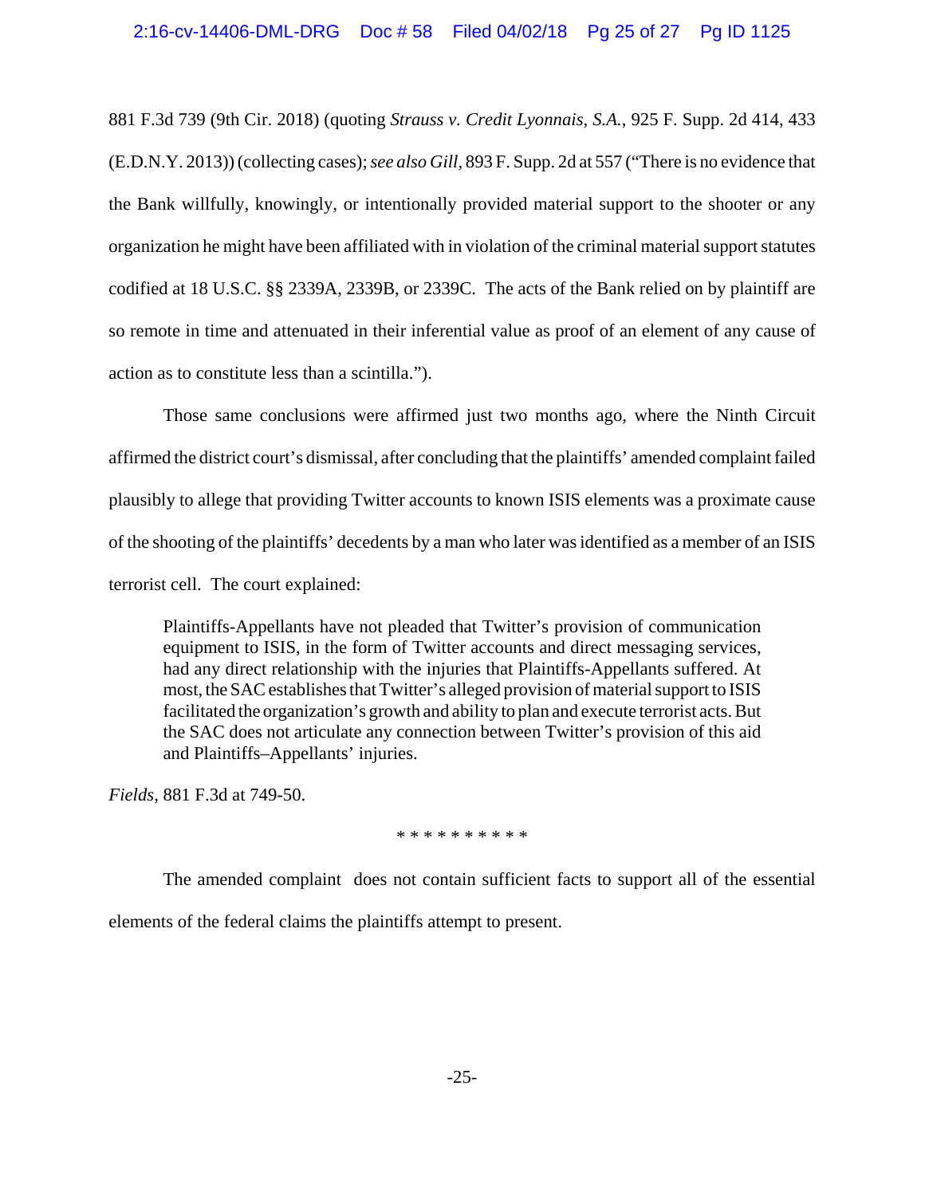881 F.3d 739 (9th Cir. 2018) (quoting *Strauss v. Credit Lyonnais, S.A.*, 925 F. Supp. 2d 414, 433 (E.D.N.Y. 2013)) (collecting cases); *see also Gill*, 893 F. Supp. 2d at 557 ("There is no evidence that the Bank willfully, knowingly, or intentionally provided material support to the shooter or any organization he might have been affiliated with in violation of the criminal material support statutes codified at 18 U.S.C. §§ 2339A, 2339B, or 2339C. The acts of the Bank relied on by plaintiff are so remote in time and attenuated in their inferential value as proof of an element of any cause of action as to constitute less than a scintilla.").

Those same conclusions were affirmed just two months ago, where the Ninth Circuit affirmed the district court's dismissal, after concluding that the plaintiffs' amended complaint failed plausibly to allege that providing Twitter accounts to known ISIS elements was a proximate cause of the shooting of the plaintiffs' decedents by a man who later was identified as a member of an ISIS terrorist cell. The court explained:

Plaintiffs-Appellants have not pleaded that Twitter's provision of communication equipment to ISIS, in the form of Twitter accounts and direct messaging services, had any direct relationship with the injuries that Plaintiffs-Appellants suffered. At most, the SAC establishes that Twitter's alleged provision of material support to ISIS facilitated the organization's growth and ability to plan and execute terrorist acts. But the SAC does not articulate any connection between Twitter's provision of this aid and Plaintiffs–Appellants' injuries.

*Fields*, 881 F.3d at 749-50.

## \* \* \* \* \* \* \* \* \* \*

The amended complaint does not contain sufficient facts to support all of the essential elements of the federal claims the plaintiffs attempt to present.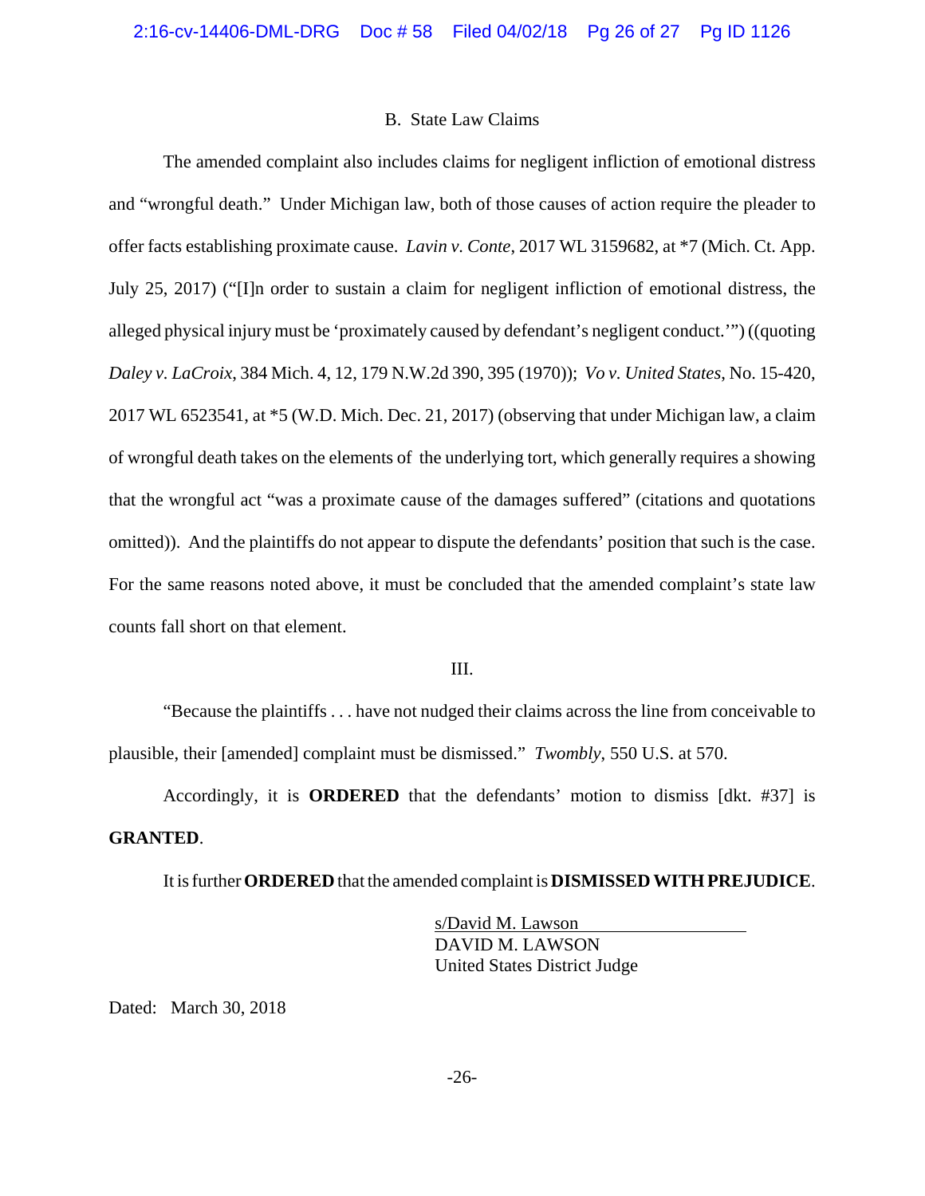## B. State Law Claims

The amended complaint also includes claims for negligent infliction of emotional distress and "wrongful death." Under Michigan law, both of those causes of action require the pleader to offer facts establishing proximate cause. *Lavin v. Conte*, 2017 WL 3159682, at \*7 (Mich. Ct. App. July 25, 2017) ("[I]n order to sustain a claim for negligent infliction of emotional distress, the alleged physical injury must be 'proximately caused by defendant's negligent conduct.'") ((quoting *Daley v. LaCroix*, 384 Mich. 4, 12, 179 N.W.2d 390, 395 (1970)); *Vo v. United States*, No. 15-420, 2017 WL 6523541, at \*5 (W.D. Mich. Dec. 21, 2017) (observing that under Michigan law, a claim of wrongful death takes on the elements of the underlying tort, which generally requires a showing that the wrongful act "was a proximate cause of the damages suffered" (citations and quotations omitted)). And the plaintiffs do not appear to dispute the defendants' position that such is the case. For the same reasons noted above, it must be concluded that the amended complaint's state law counts fall short on that element.

## III.

"Because the plaintiffs . . . have not nudged their claims across the line from conceivable to plausible, their [amended] complaint must be dismissed." *Twombly*, 550 U.S. at 570.

Accordingly, it is **ORDERED** that the defendants' motion to dismiss [dkt. #37] is **GRANTED**.

It is further **ORDERED** that the amended complaint is **DISMISSED WITH PREJUDICE**.

s/David M. Lawson DAVID M. LAWSON United States District Judge

Dated: March 30, 2018